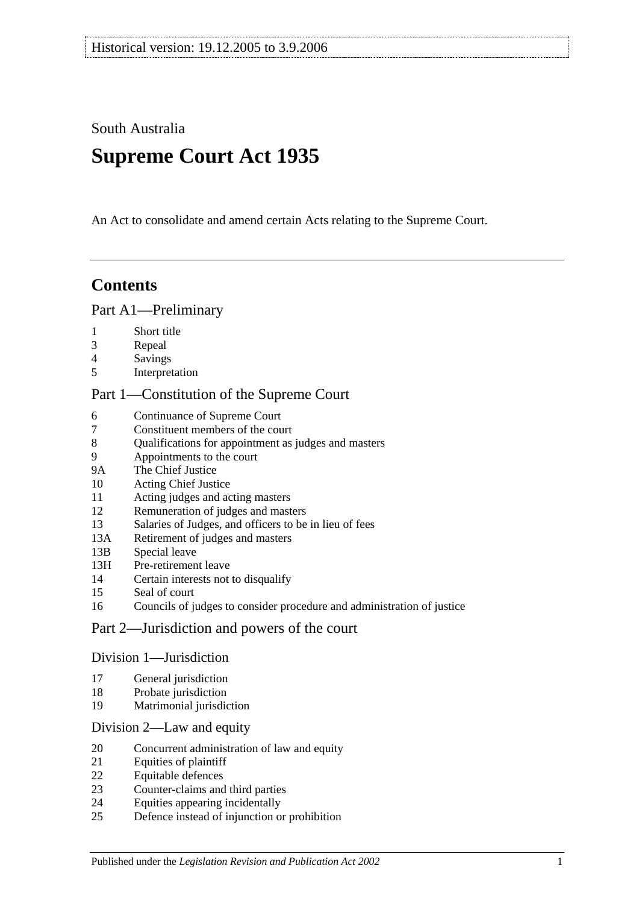South Australia

# **Supreme Court Act 1935**

An Act to consolidate and amend certain Acts relating to the Supreme Court.

# **Contents**

#### [Part A1—Preliminary](#page-3-0)

- [Short title](#page-3-1)
- [Repeal](#page-3-2)
- [Savings](#page-3-3)
- [Interpretation](#page-3-4)

### [Part 1—Constitution of the Supreme Court](#page-5-0)

- [Continuance of](#page-5-1) Supreme Court<br>7 Constituent members of the cou
- [Constituent members of the court](#page-5-2)
- [Qualifications for appointment as judges and masters](#page-5-3)
- [Appointments to the court](#page-5-4)
- 9A [The Chief Justice](#page-6-0)
- [Acting Chief Justice](#page-6-1)
- [Acting judges and acting masters](#page-6-2)
- [Remuneration of judges and masters](#page-6-3)
- [Salaries of Judges, and officers to be in lieu of fees](#page-7-0)
- 13A [Retirement of judges and masters](#page-7-1)
- 13B [Special leave](#page-7-2)
- 13H [Pre-retirement leave](#page-7-3)
- [Certain interests not to disqualify](#page-8-0)
- [Seal of court](#page-8-1)
- [Councils of judges to consider procedure and administration of justice](#page-9-0)

## [Part 2—Jurisdiction and powers of the court](#page-9-1)

#### [Division 1—Jurisdiction](#page-9-2)

- [General jurisdiction](#page-9-3)
- [Probate jurisdiction](#page-10-0)
- [Matrimonial jurisdiction](#page-10-1)

#### [Division 2—Law and equity](#page-10-2)

- [Concurrent administration of law and equity](#page-10-3)
- [Equities of plaintiff](#page-10-4)
- [Equitable defences](#page-11-0)
- [Counter-claims and third parties](#page-11-1)
- [Equities appearing incidentally](#page-11-2)
- [Defence instead of injunction or prohibition](#page-11-3)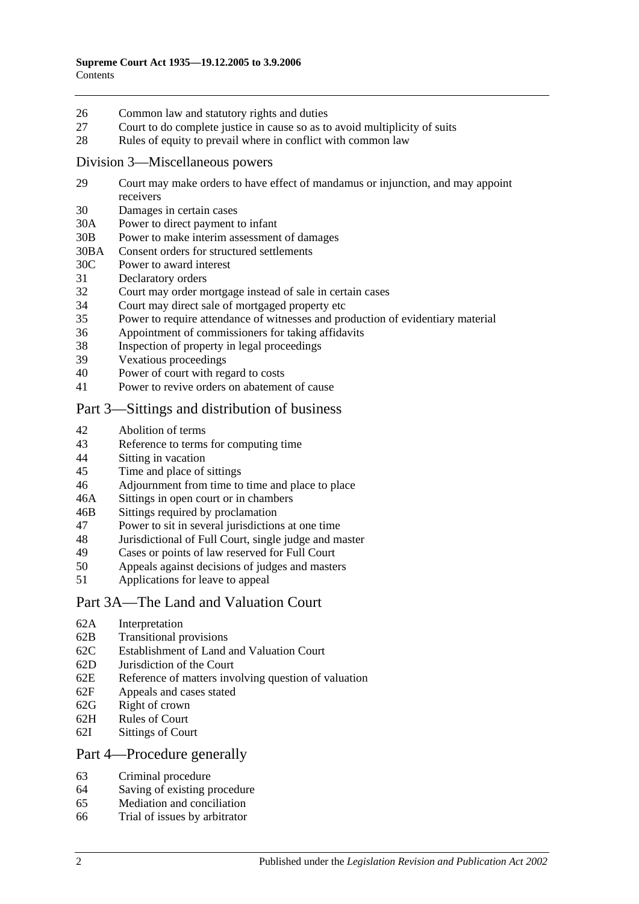- 26 [Common law and statutory rights and duties](#page-12-0)
- 27 [Court to do complete justice in cause so as to avoid multiplicity of suits](#page-12-1)
- 28 [Rules of equity to prevail where in conflict with common law](#page-12-2)

#### [Division 3—Miscellaneous powers](#page-12-3)

- 29 [Court may make orders to have effect of mandamus or injunction, and may appoint](#page-12-4)  [receivers](#page-12-4)
- 30 [Damages in certain cases](#page-13-0)
- 30A [Power to direct payment to infant](#page-13-1)
- 30B [Power to make interim assessment of damages](#page-13-2)
- 30BA [Consent orders for structured settlements](#page-16-0)
- 30C [Power to award interest](#page-16-1)
- 31 [Declaratory orders](#page-17-0)
- 32 [Court may order mortgage instead of sale in certain cases](#page-17-1)
- 34 [Court may direct sale of mortgaged property etc](#page-17-2)
- 35 [Power to require attendance of witnesses and production of evidentiary material](#page-17-3)
- 36 [Appointment of commissioners for taking affidavits](#page-18-0)
- 38 [Inspection of property in legal proceedings](#page-18-1)
- 39 [Vexatious proceedings](#page-18-2)
- 40 [Power of court with regard to costs](#page-19-0)
- 41 [Power to revive orders on abatement of cause](#page-19-1)

## [Part 3—Sittings and distribution of business](#page-19-2)

- 42 [Abolition of terms](#page-19-3)
- 43 [Reference to terms for computing time](#page-19-4)
- 44 Sitting [in vacation](#page-19-5)
- 45 [Time and place of sittings](#page-20-0)
- 46 [Adjournment from time to time and place to place](#page-20-1)
- 46A [Sittings in open court or in chambers](#page-20-2)
- 46B [Sittings required by proclamation](#page-20-3)
- 47 [Power to sit in several jurisdictions at one time](#page-20-4)
- 48 [Jurisdictional of Full Court, single judge and master](#page-20-5)
- 49 [Cases or points of law reserved for Full Court](#page-21-0)<br>50 Appeals against decisions of judges and maste
- [Appeals against decisions of judges and masters](#page-21-1)
- 51 [Applications for leave to appeal](#page-22-0)

#### [Part 3A—The Land and Valuation Court](#page-22-1)

- 62A [Interpretation](#page-22-2)
- 62B [Transitional provisions](#page-22-3)
- 62C [Establishment of Land and Valuation Court](#page-23-0)
- 62D [Jurisdiction of the Court](#page-23-1)
- 62E [Reference of matters involving question of valuation](#page-24-0)
- 62F [Appeals and cases stated](#page-24-1)
- 62G [Right of crown](#page-24-2)
- 62H [Rules of Court](#page-25-0)
- 62I [Sittings of Court](#page-25-1)

#### [Part 4—Procedure generally](#page-25-2)

- 63 [Criminal procedure](#page-25-3)
- 64 [Saving of existing procedure](#page-25-4)
- 65 [Mediation and conciliation](#page-26-0)
- 66 [Trial of issues by arbitrator](#page-26-1)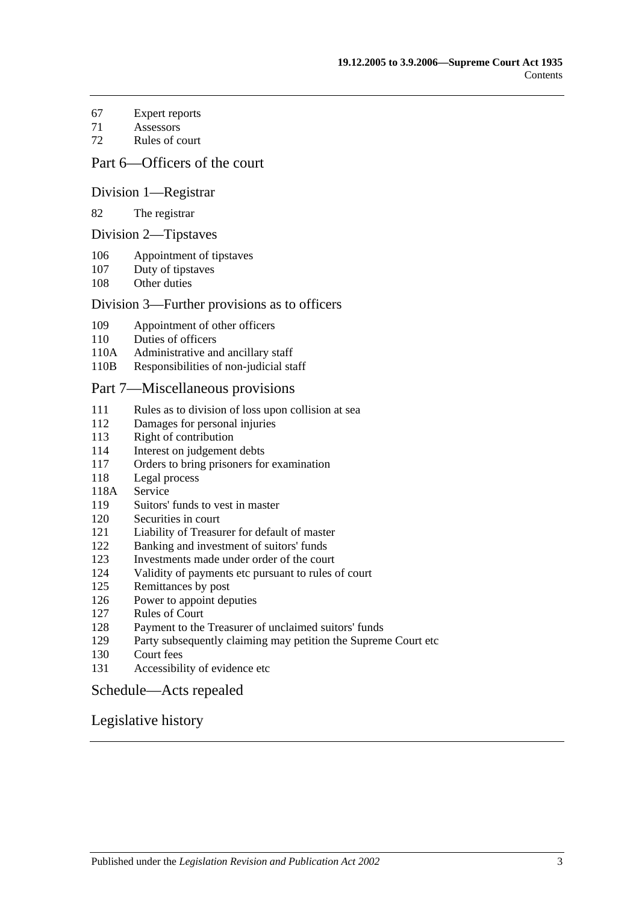- [Expert reports](#page-26-2)
- [Assessors](#page-27-0)
- [Rules of court](#page-27-1)

## [Part 6—Officers of the court](#page-28-0)

#### [Division 1—Registrar](#page-28-1)

#### [The registrar](#page-28-2)

#### [Division 2—Tipstaves](#page-28-3)

- [Appointment of tipstaves](#page-28-4)
- [Duty of tipstaves](#page-29-0)
- [Other duties](#page-29-1)

#### [Division 3—Further provisions as to officers](#page-29-2)

- [Appointment of other officers](#page-29-3)
- [Duties of officers](#page-29-4)
- 110A [Administrative and ancillary staff](#page-29-5)
- 110B [Responsibilities of non-judicial staff](#page-29-6)

#### [Part 7—Miscellaneous provisions](#page-30-0)

- [Rules as to division of loss upon collision at sea](#page-30-1)
- [Damages for personal injuries](#page-30-2)
- [Right of contribution](#page-30-3)
- [Interest on judgement debts](#page-31-0)
- [Orders to bring prisoners for examination](#page-31-1)
- [Legal process](#page-31-2)
- 118A [Service](#page-31-3)
- [Suitors' funds to vest in master](#page-31-4)
- [Securities in court](#page-32-0)
- [Liability of Treasurer for default of master](#page-32-1)
- [Banking and investment of suitors' funds](#page-32-2)<br>123 Investments made under order of the cour
- [Investments made under order of the court](#page-32-3)
- [Validity of payments etc pursuant to rules of court](#page-32-4)
- [Remittances by post](#page-32-5)
- [Power to appoint deputies](#page-33-0)
- [Rules of Court](#page-33-1)
- [Payment to the Treasurer of unclaimed suitors' funds](#page-33-2)
- [Party subsequently claiming may petition the](#page-33-3) Supreme Court etc
- [Court fees](#page-33-4)
- [Accessibility of evidence etc](#page-34-0)

#### [Schedule—Acts repealed](#page-35-0)

### [Legislative history](#page-37-0)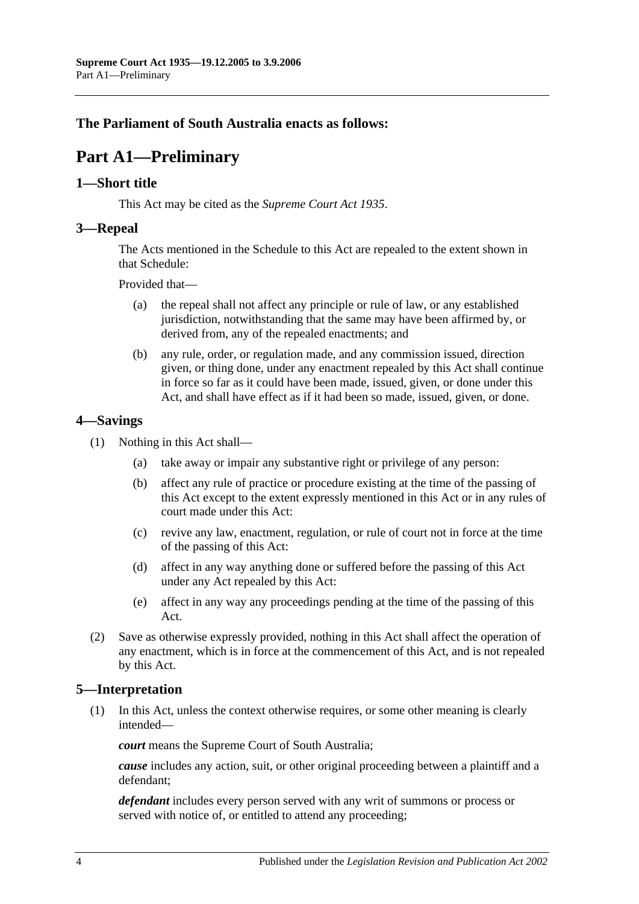## <span id="page-3-0"></span>**The Parliament of South Australia enacts as follows:**

# **Part A1—Preliminary**

### <span id="page-3-1"></span>**1—Short title**

This Act may be cited as the *Supreme Court Act 1935*.

### <span id="page-3-2"></span>**3—Repeal**

The Acts mentioned in the [Schedule](#page-35-0) to this Act are repealed to the extent shown in that [Schedule:](#page-35-0)

Provided that—

- (a) the repeal shall not affect any principle or rule of law, or any established jurisdiction, notwithstanding that the same may have been affirmed by, or derived from, any of the repealed enactments; and
- (b) any rule, order, or regulation made, and any commission issued, direction given, or thing done, under any enactment repealed by this Act shall continue in force so far as it could have been made, issued, given, or done under this Act, and shall have effect as if it had been so made, issued, given, or done.

## <span id="page-3-3"></span>**4—Savings**

- (1) Nothing in this Act shall—
	- (a) take away or impair any substantive right or privilege of any person:
	- (b) affect any rule of practice or procedure existing at the time of the passing of this Act except to the extent expressly mentioned in this Act or in any rules of court made under this Act:
	- (c) revive any law, enactment, regulation, or rule of court not in force at the time of the passing of this Act:
	- (d) affect in any way anything done or suffered before the passing of this Act under any Act repealed by this Act:
	- (e) affect in any way any proceedings pending at the time of the passing of this Act.
- (2) Save as otherwise expressly provided, nothing in this Act shall affect the operation of any enactment, which is in force at the commencement of this Act, and is not repealed by this Act.

## <span id="page-3-4"></span>**5—Interpretation**

(1) In this Act, unless the context otherwise requires, or some other meaning is clearly intended—

*court* means the Supreme Court of South Australia;

*cause* includes any action, suit, or other original proceeding between a plaintiff and a defendant;

*defendant* includes every person served with any writ of summons or process or served with notice of, or entitled to attend any proceeding;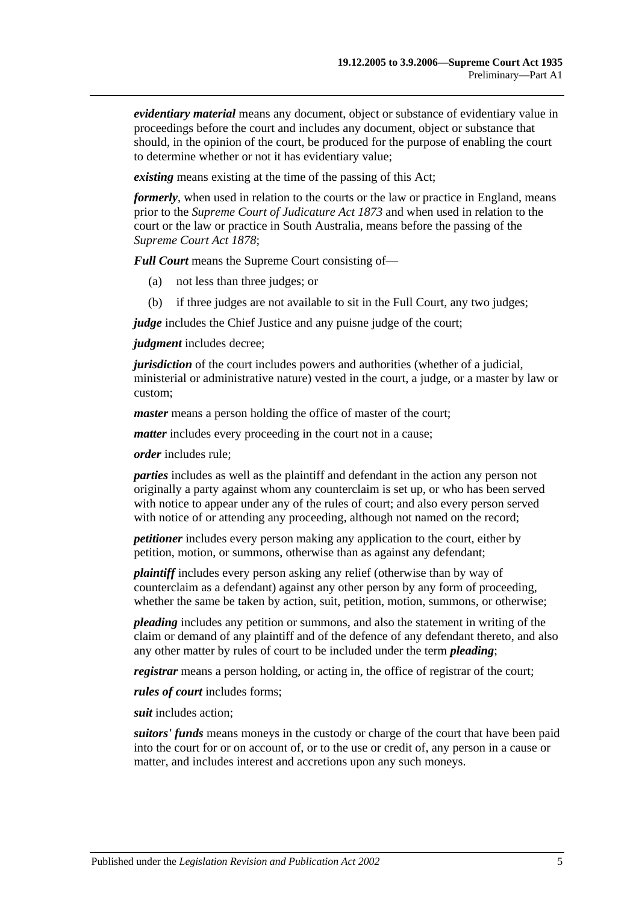*evidentiary material* means any document, object or substance of evidentiary value in proceedings before the court and includes any document, object or substance that should, in the opinion of the court, be produced for the purpose of enabling the court to determine whether or not it has evidentiary value;

*existing* means existing at the time of the passing of this Act;

*formerly*, when used in relation to the courts or the law or practice in England, means prior to the *[Supreme Court of Judicature Act](http://www.legislation.sa.gov.au/index.aspx?action=legref&type=act&legtitle=Supreme%20Court%20of%20Judicature%20Act%201873) 1873* and when used in relation to the court or the law or practice in South Australia, means before the passing of the *[Supreme Court Act](http://www.legislation.sa.gov.au/index.aspx?action=legref&type=act&legtitle=Supreme%20Court%20Act%201878) 1878*;

*Full Court* means the Supreme Court consisting of—

- (a) not less than three judges; or
- (b) if three judges are not available to sit in the Full Court, any two judges;

*judge* includes the Chief Justice and any puisne judge of the court;

*judgment* includes decree;

*jurisdiction* of the court includes powers and authorities (whether of a judicial, ministerial or administrative nature) vested in the court, a judge, or a master by law or custom;

*master* means a person holding the office of master of the court;

*matter* includes every proceeding in the court not in a cause;

*order* includes rule;

*parties* includes as well as the plaintiff and defendant in the action any person not originally a party against whom any counterclaim is set up, or who has been served with notice to appear under any of the rules of court; and also every person served with notice of or attending any proceeding, although not named on the record;

*petitioner* includes every person making any application to the court, either by petition, motion, or summons, otherwise than as against any defendant;

*plaintiff* includes every person asking any relief (otherwise than by way of counterclaim as a defendant) against any other person by any form of proceeding, whether the same be taken by action, suit, petition, motion, summons, or otherwise;

*pleading* includes any petition or summons, and also the statement in writing of the claim or demand of any plaintiff and of the defence of any defendant thereto, and also any other matter by rules of court to be included under the term *pleading*;

*registrar* means a person holding, or acting in, the office of registrar of the court;

*rules of court* includes forms;

*suit* includes action;

*suitors' funds* means moneys in the custody or charge of the court that have been paid into the court for or on account of, or to the use or credit of, any person in a cause or matter, and includes interest and accretions upon any such moneys.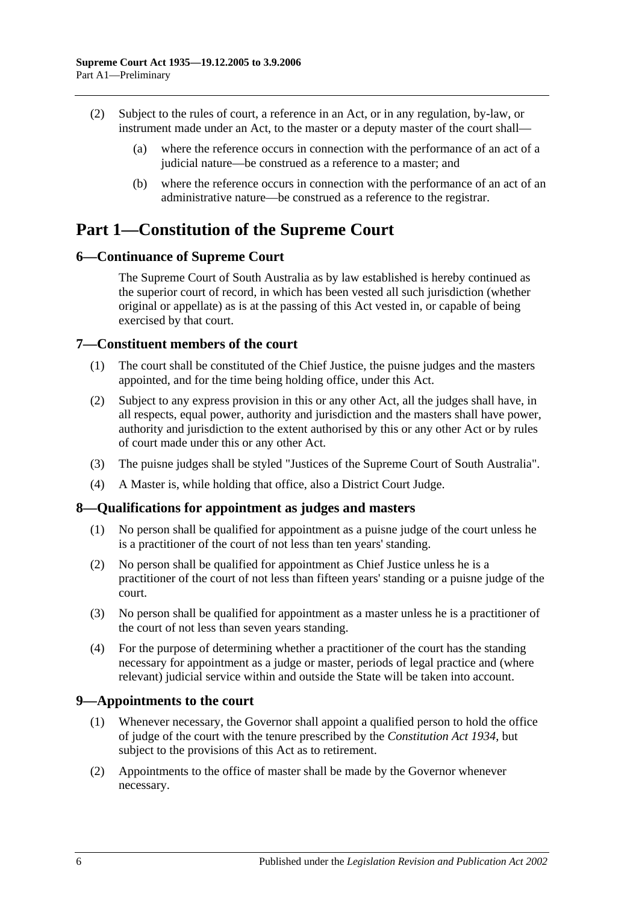- (2) Subject to the rules of court, a reference in an Act, or in any regulation, by-law, or instrument made under an Act, to the master or a deputy master of the court shall—
	- (a) where the reference occurs in connection with the performance of an act of a judicial nature—be construed as a reference to a master; and
	- (b) where the reference occurs in connection with the performance of an act of an administrative nature—be construed as a reference to the registrar.

# <span id="page-5-0"></span>**Part 1—Constitution of the Supreme Court**

## <span id="page-5-1"></span>**6—Continuance of Supreme Court**

The Supreme Court of South Australia as by law established is hereby continued as the superior court of record, in which has been vested all such jurisdiction (whether original or appellate) as is at the passing of this Act vested in, or capable of being exercised by that court.

## <span id="page-5-2"></span>**7—Constituent members of the court**

- (1) The court shall be constituted of the Chief Justice, the puisne judges and the masters appointed, and for the time being holding office, under this Act.
- (2) Subject to any express provision in this or any other Act, all the judges shall have, in all respects, equal power, authority and jurisdiction and the masters shall have power, authority and jurisdiction to the extent authorised by this or any other Act or by rules of court made under this or any other Act.
- (3) The puisne judges shall be styled "Justices of the Supreme Court of South Australia".
- (4) A Master is, while holding that office, also a District Court Judge.

## <span id="page-5-3"></span>**8—Qualifications for appointment as judges and masters**

- (1) No person shall be qualified for appointment as a puisne judge of the court unless he is a practitioner of the court of not less than ten years' standing.
- (2) No person shall be qualified for appointment as Chief Justice unless he is a practitioner of the court of not less than fifteen years' standing or a puisne judge of the court.
- (3) No person shall be qualified for appointment as a master unless he is a practitioner of the court of not less than seven years standing.
- (4) For the purpose of determining whether a practitioner of the court has the standing necessary for appointment as a judge or master, periods of legal practice and (where relevant) judicial service within and outside the State will be taken into account.

## <span id="page-5-4"></span>**9—Appointments to the court**

- (1) Whenever necessary, the Governor shall appoint a qualified person to hold the office of judge of the court with the tenure prescribed by the *[Constitution Act](http://www.legislation.sa.gov.au/index.aspx?action=legref&type=act&legtitle=Constitution%20Act%201934) 1934*, but subject to the provisions of this Act as to retirement.
- (2) Appointments to the office of master shall be made by the Governor whenever necessary.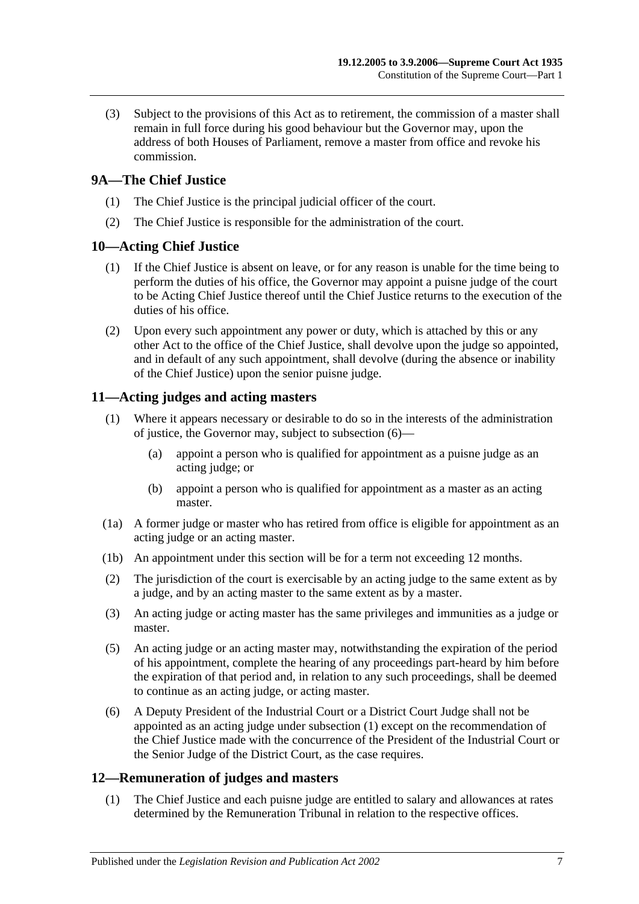(3) Subject to the provisions of this Act as to retirement, the commission of a master shall remain in full force during his good behaviour but the Governor may, upon the address of both Houses of Parliament, remove a master from office and revoke his commission.

## <span id="page-6-0"></span>**9A—The Chief Justice**

- (1) The Chief Justice is the principal judicial officer of the court.
- (2) The Chief Justice is responsible for the administration of the court.

## <span id="page-6-1"></span>**10—Acting Chief Justice**

- (1) If the Chief Justice is absent on leave, or for any reason is unable for the time being to perform the duties of his office, the Governor may appoint a puisne judge of the court to be Acting Chief Justice thereof until the Chief Justice returns to the execution of the duties of his office.
- (2) Upon every such appointment any power or duty, which is attached by this or any other Act to the office of the Chief Justice, shall devolve upon the judge so appointed, and in default of any such appointment, shall devolve (during the absence or inability of the Chief Justice) upon the senior puisne judge.

## <span id="page-6-5"></span><span id="page-6-2"></span>**11—Acting judges and acting masters**

- (1) Where it appears necessary or desirable to do so in the interests of the administration of justice, the Governor may, subject to [subsection](#page-6-4) (6)—
	- (a) appoint a person who is qualified for appointment as a puisne judge as an acting judge; or
	- (b) appoint a person who is qualified for appointment as a master as an acting master.
- (1a) A former judge or master who has retired from office is eligible for appointment as an acting judge or an acting master.
- (1b) An appointment under this section will be for a term not exceeding 12 months.
- (2) The jurisdiction of the court is exercisable by an acting judge to the same extent as by a judge, and by an acting master to the same extent as by a master.
- (3) An acting judge or acting master has the same privileges and immunities as a judge or master.
- (5) An acting judge or an acting master may, notwithstanding the expiration of the period of his appointment, complete the hearing of any proceedings part-heard by him before the expiration of that period and, in relation to any such proceedings, shall be deemed to continue as an acting judge, or acting master.
- <span id="page-6-4"></span>(6) A Deputy President of the Industrial Court or a District Court Judge shall not be appointed as an acting judge under [subsection](#page-6-5) (1) except on the recommendation of the Chief Justice made with the concurrence of the President of the Industrial Court or the Senior Judge of the District Court, as the case requires.

## <span id="page-6-3"></span>**12—Remuneration of judges and masters**

(1) The Chief Justice and each puisne judge are entitled to salary and allowances at rates determined by the Remuneration Tribunal in relation to the respective offices.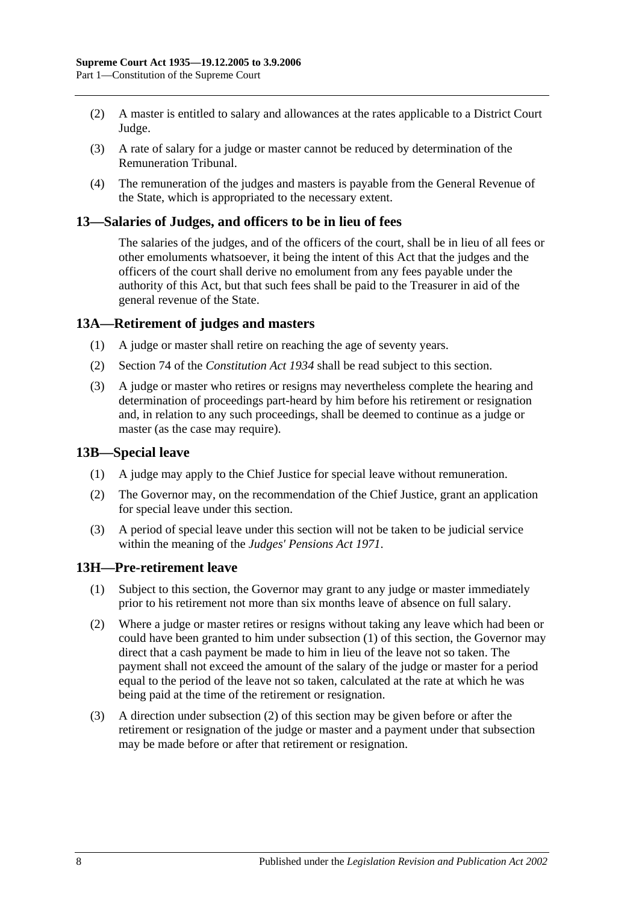- (2) A master is entitled to salary and allowances at the rates applicable to a District Court Judge.
- (3) A rate of salary for a judge or master cannot be reduced by determination of the Remuneration Tribunal.
- (4) The remuneration of the judges and masters is payable from the General Revenue of the State, which is appropriated to the necessary extent.

#### <span id="page-7-0"></span>**13—Salaries of Judges, and officers to be in lieu of fees**

The salaries of the judges, and of the officers of the court, shall be in lieu of all fees or other emoluments whatsoever, it being the intent of this Act that the judges and the officers of the court shall derive no emolument from any fees payable under the authority of this Act, but that such fees shall be paid to the Treasurer in aid of the general revenue of the State.

### <span id="page-7-1"></span>**13A—Retirement of judges and masters**

- (1) A judge or master shall retire on reaching the age of seventy years.
- (2) Section 74 of the *[Constitution Act](http://www.legislation.sa.gov.au/index.aspx?action=legref&type=act&legtitle=Constitution%20Act%201934) 1934* shall be read subject to this section.
- (3) A judge or master who retires or resigns may nevertheless complete the hearing and determination of proceedings part-heard by him before his retirement or resignation and, in relation to any such proceedings, shall be deemed to continue as a judge or master (as the case may require).

#### <span id="page-7-2"></span>**13B—Special leave**

- (1) A judge may apply to the Chief Justice for special leave without remuneration.
- (2) The Governor may, on the recommendation of the Chief Justice, grant an application for special leave under this section.
- (3) A period of special leave under this section will not be taken to be judicial service within the meaning of the *[Judges' Pensions Act](http://www.legislation.sa.gov.au/index.aspx?action=legref&type=act&legtitle=Judges%20Pensions%20Act%201971) 1971*.

#### <span id="page-7-4"></span><span id="page-7-3"></span>**13H—Pre-retirement leave**

- (1) Subject to this section, the Governor may grant to any judge or master immediately prior to his retirement not more than six months leave of absence on full salary.
- <span id="page-7-5"></span>(2) Where a judge or master retires or resigns without taking any leave which had been or could have been granted to him under [subsection](#page-7-4) (1) of this section, the Governor may direct that a cash payment be made to him in lieu of the leave not so taken. The payment shall not exceed the amount of the salary of the judge or master for a period equal to the period of the leave not so taken, calculated at the rate at which he was being paid at the time of the retirement or resignation.
- (3) A direction under [subsection](#page-7-5) (2) of this section may be given before or after the retirement or resignation of the judge or master and a payment under that subsection may be made before or after that retirement or resignation.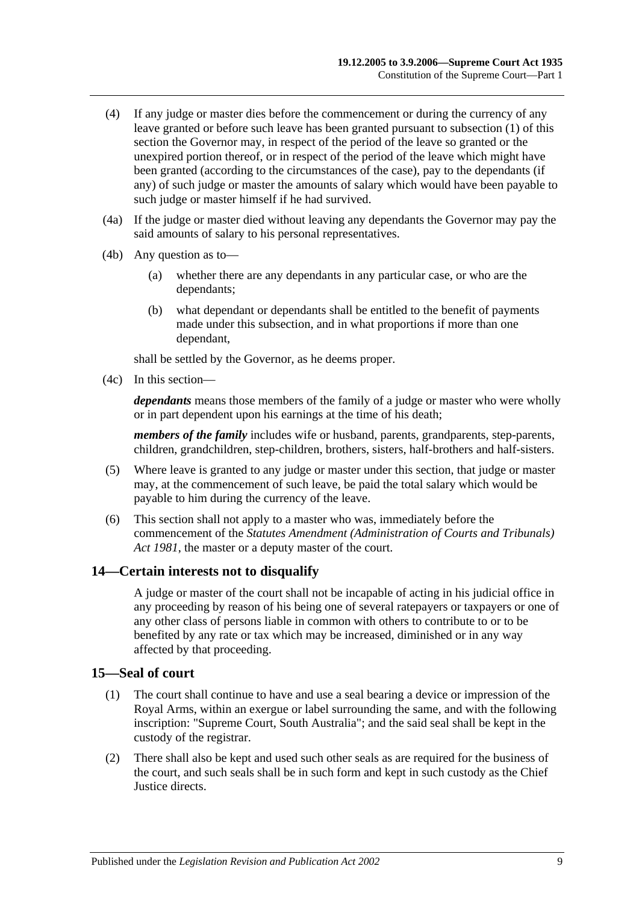- (4) If any judge or master dies before the commencement or during the currency of any leave granted or before such leave has been granted pursuant to [subsection](#page-7-4) (1) of this section the Governor may, in respect of the period of the leave so granted or the unexpired portion thereof, or in respect of the period of the leave which might have been granted (according to the circumstances of the case), pay to the dependants (if any) of such judge or master the amounts of salary which would have been payable to such judge or master himself if he had survived.
- (4a) If the judge or master died without leaving any dependants the Governor may pay the said amounts of salary to his personal representatives.
- (4b) Any question as to—
	- (a) whether there are any dependants in any particular case, or who are the dependants;
	- (b) what dependant or dependants shall be entitled to the benefit of payments made under this subsection, and in what proportions if more than one dependant,

shall be settled by the Governor, as he deems proper.

(4c) In this section—

*dependants* means those members of the family of a judge or master who were wholly or in part dependent upon his earnings at the time of his death;

*members of the family* includes wife or husband, parents, grandparents, step-parents, children, grandchildren, step-children, brothers, sisters, half-brothers and half-sisters.

- (5) Where leave is granted to any judge or master under this section, that judge or master may, at the commencement of such leave, be paid the total salary which would be payable to him during the currency of the leave.
- (6) This section shall not apply to a master who was, immediately before the commencement of the *[Statutes Amendment \(Administration of Courts and Tribunals\)](http://www.legislation.sa.gov.au/index.aspx?action=legref&type=act&legtitle=Statutes%20Amendment%20(Administration%20of%20Courts%20and%20Tribunals)%20Act%201981)  Act [1981](http://www.legislation.sa.gov.au/index.aspx?action=legref&type=act&legtitle=Statutes%20Amendment%20(Administration%20of%20Courts%20and%20Tribunals)%20Act%201981)*, the master or a deputy master of the court.

## <span id="page-8-0"></span>**14—Certain interests not to disqualify**

A judge or master of the court shall not be incapable of acting in his judicial office in any proceeding by reason of his being one of several ratepayers or taxpayers or one of any other class of persons liable in common with others to contribute to or to be benefited by any rate or tax which may be increased, diminished or in any way affected by that proceeding.

#### <span id="page-8-1"></span>**15—Seal of court**

- (1) The court shall continue to have and use a seal bearing a device or impression of the Royal Arms, within an exergue or label surrounding the same, and with the following inscription: "Supreme Court, South Australia"; and the said seal shall be kept in the custody of the registrar.
- (2) There shall also be kept and used such other seals as are required for the business of the court, and such seals shall be in such form and kept in such custody as the Chief Justice directs.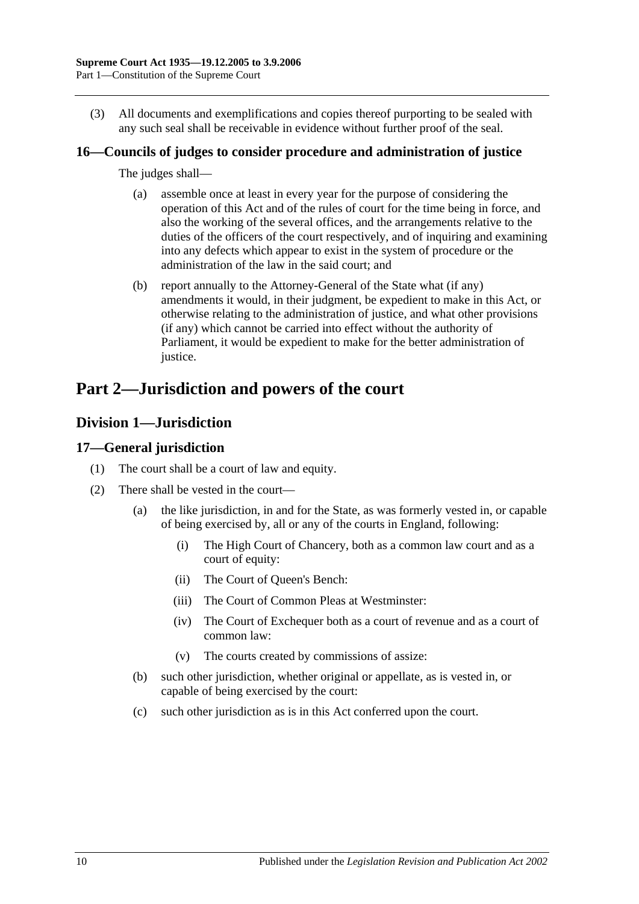(3) All documents and exemplifications and copies thereof purporting to be sealed with any such seal shall be receivable in evidence without further proof of the seal.

## <span id="page-9-0"></span>**16—Councils of judges to consider procedure and administration of justice**

The judges shall—

- (a) assemble once at least in every year for the purpose of considering the operation of this Act and of the rules of court for the time being in force, and also the working of the several offices, and the arrangements relative to the duties of the officers of the court respectively, and of inquiring and examining into any defects which appear to exist in the system of procedure or the administration of the law in the said court; and
- (b) report annually to the Attorney-General of the State what (if any) amendments it would, in their judgment, be expedient to make in this Act, or otherwise relating to the administration of justice, and what other provisions (if any) which cannot be carried into effect without the authority of Parliament, it would be expedient to make for the better administration of justice.

# <span id="page-9-1"></span>**Part 2—Jurisdiction and powers of the court**

# <span id="page-9-2"></span>**Division 1—Jurisdiction**

## <span id="page-9-3"></span>**17—General jurisdiction**

- (1) The court shall be a court of law and equity.
- (2) There shall be vested in the court—
	- (a) the like jurisdiction, in and for the State, as was formerly vested in, or capable of being exercised by, all or any of the courts in England, following:
		- (i) The High Court of Chancery, both as a common law court and as a court of equity:
		- (ii) The Court of Queen's Bench:
		- (iii) The Court of Common Pleas at Westminster:
		- (iv) The Court of Exchequer both as a court of revenue and as a court of common law:
		- (v) The courts created by commissions of assize:
	- (b) such other jurisdiction, whether original or appellate, as is vested in, or capable of being exercised by the court:
	- (c) such other jurisdiction as is in this Act conferred upon the court.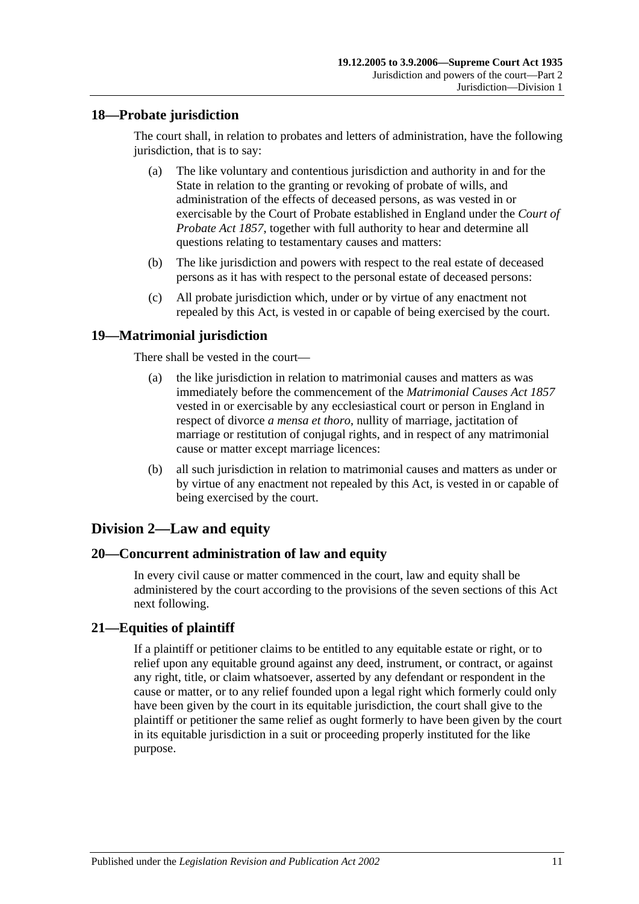## <span id="page-10-0"></span>**18—Probate jurisdiction**

The court shall, in relation to probates and letters of administration, have the following jurisdiction, that is to say:

- (a) The like voluntary and contentious jurisdiction and authority in and for the State in relation to the granting or revoking of probate of wills, and administration of the effects of deceased persons, as was vested in or exercisable by the Court of Probate established in England under the *[Court of](http://www.legislation.sa.gov.au/index.aspx?action=legref&type=act&legtitle=Court%20of%20Probate%20Act%201857)  [Probate Act](http://www.legislation.sa.gov.au/index.aspx?action=legref&type=act&legtitle=Court%20of%20Probate%20Act%201857) 1857*, together with full authority to hear and determine all questions relating to testamentary causes and matters:
- (b) The like jurisdiction and powers with respect to the real estate of deceased persons as it has with respect to the personal estate of deceased persons:
- (c) All probate jurisdiction which, under or by virtue of any enactment not repealed by this Act, is vested in or capable of being exercised by the court.

## <span id="page-10-1"></span>**19—Matrimonial jurisdiction**

There shall be vested in the court—

- (a) the like jurisdiction in relation to matrimonial causes and matters as was immediately before the commencement of the *[Matrimonial Causes Act](http://www.legislation.sa.gov.au/index.aspx?action=legref&type=act&legtitle=Matrimonial%20Causes%20Act%201857) 1857* vested in or exercisable by any ecclesiastical court or person in England in respect of divorce *a mensa et thoro*, nullity of marriage, jactitation of marriage or restitution of conjugal rights, and in respect of any matrimonial cause or matter except marriage licences:
- (b) all such jurisdiction in relation to matrimonial causes and matters as under or by virtue of any enactment not repealed by this Act, is vested in or capable of being exercised by the court.

## <span id="page-10-2"></span>**Division 2—Law and equity**

## <span id="page-10-3"></span>**20—Concurrent administration of law and equity**

In every civil cause or matter commenced in the court, law and equity shall be administered by the court according to the provisions of the seven sections of this Act next following.

## <span id="page-10-4"></span>**21—Equities of plaintiff**

If a plaintiff or petitioner claims to be entitled to any equitable estate or right, or to relief upon any equitable ground against any deed, instrument, or contract, or against any right, title, or claim whatsoever, asserted by any defendant or respondent in the cause or matter, or to any relief founded upon a legal right which formerly could only have been given by the court in its equitable jurisdiction, the court shall give to the plaintiff or petitioner the same relief as ought formerly to have been given by the court in its equitable jurisdiction in a suit or proceeding properly instituted for the like purpose.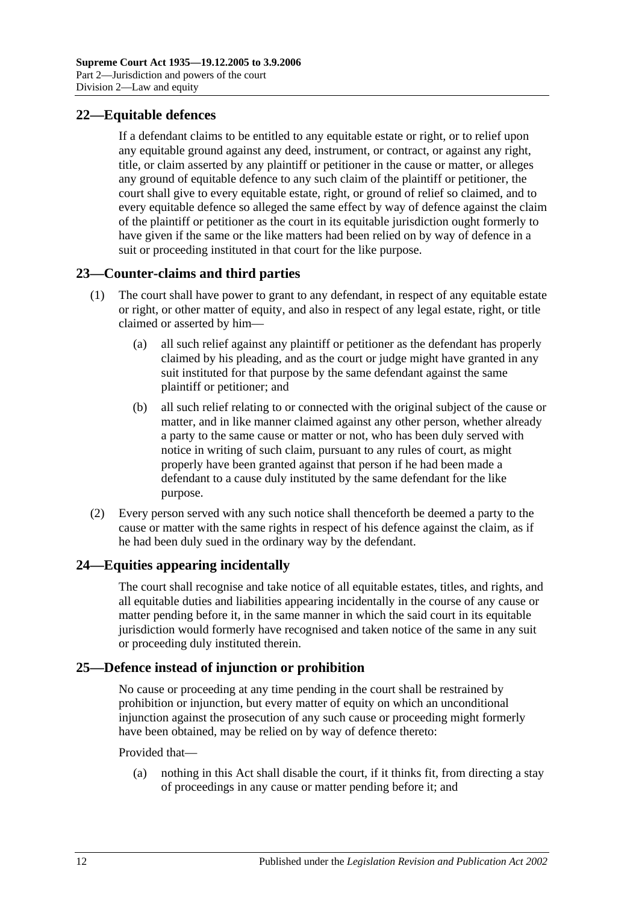## <span id="page-11-0"></span>**22—Equitable defences**

If a defendant claims to be entitled to any equitable estate or right, or to relief upon any equitable ground against any deed, instrument, or contract, or against any right, title, or claim asserted by any plaintiff or petitioner in the cause or matter, or alleges any ground of equitable defence to any such claim of the plaintiff or petitioner, the court shall give to every equitable estate, right, or ground of relief so claimed, and to every equitable defence so alleged the same effect by way of defence against the claim of the plaintiff or petitioner as the court in its equitable jurisdiction ought formerly to have given if the same or the like matters had been relied on by way of defence in a suit or proceeding instituted in that court for the like purpose.

## <span id="page-11-1"></span>**23—Counter-claims and third parties**

- (1) The court shall have power to grant to any defendant, in respect of any equitable estate or right, or other matter of equity, and also in respect of any legal estate, right, or title claimed or asserted by him—
	- (a) all such relief against any plaintiff or petitioner as the defendant has properly claimed by his pleading, and as the court or judge might have granted in any suit instituted for that purpose by the same defendant against the same plaintiff or petitioner; and
	- (b) all such relief relating to or connected with the original subject of the cause or matter, and in like manner claimed against any other person, whether already a party to the same cause or matter or not, who has been duly served with notice in writing of such claim, pursuant to any rules of court, as might properly have been granted against that person if he had been made a defendant to a cause duly instituted by the same defendant for the like purpose.
- (2) Every person served with any such notice shall thenceforth be deemed a party to the cause or matter with the same rights in respect of his defence against the claim, as if he had been duly sued in the ordinary way by the defendant.

## <span id="page-11-2"></span>**24—Equities appearing incidentally**

The court shall recognise and take notice of all equitable estates, titles, and rights, and all equitable duties and liabilities appearing incidentally in the course of any cause or matter pending before it, in the same manner in which the said court in its equitable jurisdiction would formerly have recognised and taken notice of the same in any suit or proceeding duly instituted therein.

## <span id="page-11-3"></span>**25—Defence instead of injunction or prohibition**

No cause or proceeding at any time pending in the court shall be restrained by prohibition or injunction, but every matter of equity on which an unconditional injunction against the prosecution of any such cause or proceeding might formerly have been obtained, may be relied on by way of defence thereto:

#### Provided that—

(a) nothing in this Act shall disable the court, if it thinks fit, from directing a stay of proceedings in any cause or matter pending before it; and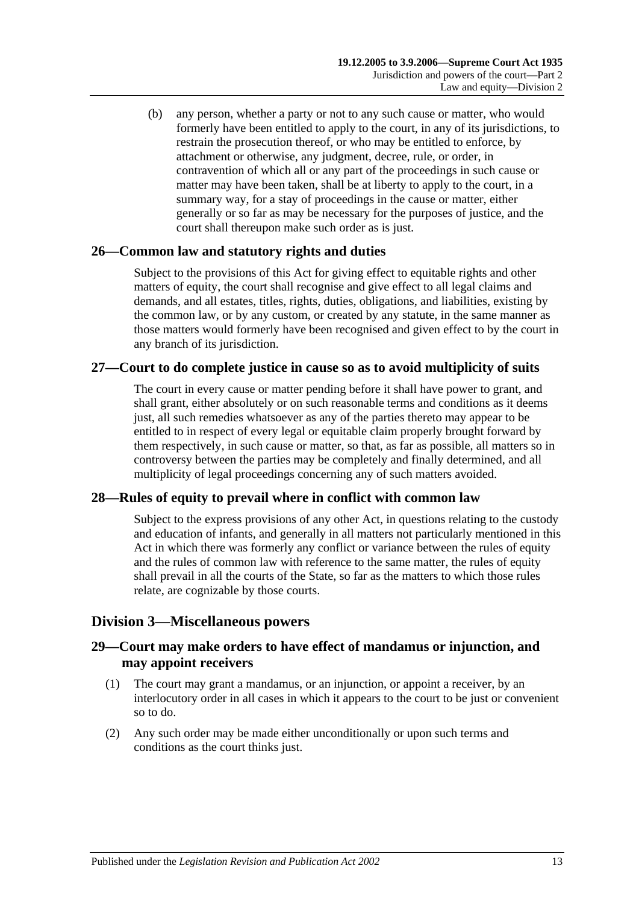(b) any person, whether a party or not to any such cause or matter, who would formerly have been entitled to apply to the court, in any of its jurisdictions, to restrain the prosecution thereof, or who may be entitled to enforce, by attachment or otherwise, any judgment, decree, rule, or order, in contravention of which all or any part of the proceedings in such cause or matter may have been taken, shall be at liberty to apply to the court, in a summary way, for a stay of proceedings in the cause or matter, either generally or so far as may be necessary for the purposes of justice, and the court shall thereupon make such order as is just.

## <span id="page-12-0"></span>**26—Common law and statutory rights and duties**

Subject to the provisions of this Act for giving effect to equitable rights and other matters of equity, the court shall recognise and give effect to all legal claims and demands, and all estates, titles, rights, duties, obligations, and liabilities, existing by the common law, or by any custom, or created by any statute, in the same manner as those matters would formerly have been recognised and given effect to by the court in any branch of its jurisdiction.

## <span id="page-12-1"></span>**27—Court to do complete justice in cause so as to avoid multiplicity of suits**

The court in every cause or matter pending before it shall have power to grant, and shall grant, either absolutely or on such reasonable terms and conditions as it deems just, all such remedies whatsoever as any of the parties thereto may appear to be entitled to in respect of every legal or equitable claim properly brought forward by them respectively, in such cause or matter, so that, as far as possible, all matters so in controversy between the parties may be completely and finally determined, and all multiplicity of legal proceedings concerning any of such matters avoided.

## <span id="page-12-2"></span>**28—Rules of equity to prevail where in conflict with common law**

Subject to the express provisions of any other Act, in questions relating to the custody and education of infants, and generally in all matters not particularly mentioned in this Act in which there was formerly any conflict or variance between the rules of equity and the rules of common law with reference to the same matter, the rules of equity shall prevail in all the courts of the State, so far as the matters to which those rules relate, are cognizable by those courts.

## <span id="page-12-3"></span>**Division 3—Miscellaneous powers**

## <span id="page-12-4"></span>**29—Court may make orders to have effect of mandamus or injunction, and may appoint receivers**

- (1) The court may grant a mandamus, or an injunction, or appoint a receiver, by an interlocutory order in all cases in which it appears to the court to be just or convenient so to do.
- (2) Any such order may be made either unconditionally or upon such terms and conditions as the court thinks just.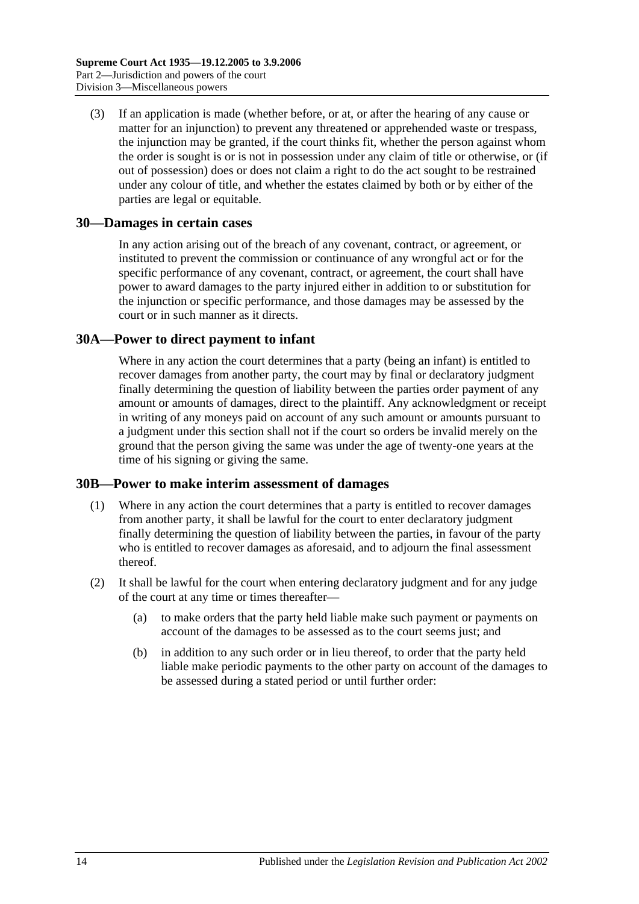(3) If an application is made (whether before, or at, or after the hearing of any cause or matter for an injunction) to prevent any threatened or apprehended waste or trespass, the injunction may be granted, if the court thinks fit, whether the person against whom the order is sought is or is not in possession under any claim of title or otherwise, or (if out of possession) does or does not claim a right to do the act sought to be restrained under any colour of title, and whether the estates claimed by both or by either of the parties are legal or equitable.

### <span id="page-13-0"></span>**30—Damages in certain cases**

In any action arising out of the breach of any covenant, contract, or agreement, or instituted to prevent the commission or continuance of any wrongful act or for the specific performance of any covenant, contract, or agreement, the court shall have power to award damages to the party injured either in addition to or substitution for the injunction or specific performance, and those damages may be assessed by the court or in such manner as it directs.

### <span id="page-13-1"></span>**30A—Power to direct payment to infant**

Where in any action the court determines that a party (being an infant) is entitled to recover damages from another party, the court may by final or declaratory judgment finally determining the question of liability between the parties order payment of any amount or amounts of damages, direct to the plaintiff. Any acknowledgment or receipt in writing of any moneys paid on account of any such amount or amounts pursuant to a judgment under this section shall not if the court so orders be invalid merely on the ground that the person giving the same was under the age of twenty-one years at the time of his signing or giving the same.

#### <span id="page-13-2"></span>**30B—Power to make interim assessment of damages**

- (1) Where in any action the court determines that a party is entitled to recover damages from another party, it shall be lawful for the court to enter declaratory judgment finally determining the question of liability between the parties, in favour of the party who is entitled to recover damages as aforesaid, and to adjourn the final assessment thereof.
- <span id="page-13-3"></span>(2) It shall be lawful for the court when entering declaratory judgment and for any judge of the court at any time or times thereafter—
	- (a) to make orders that the party held liable make such payment or payments on account of the damages to be assessed as to the court seems just; and
	- (b) in addition to any such order or in lieu thereof, to order that the party held liable make periodic payments to the other party on account of the damages to be assessed during a stated period or until further order: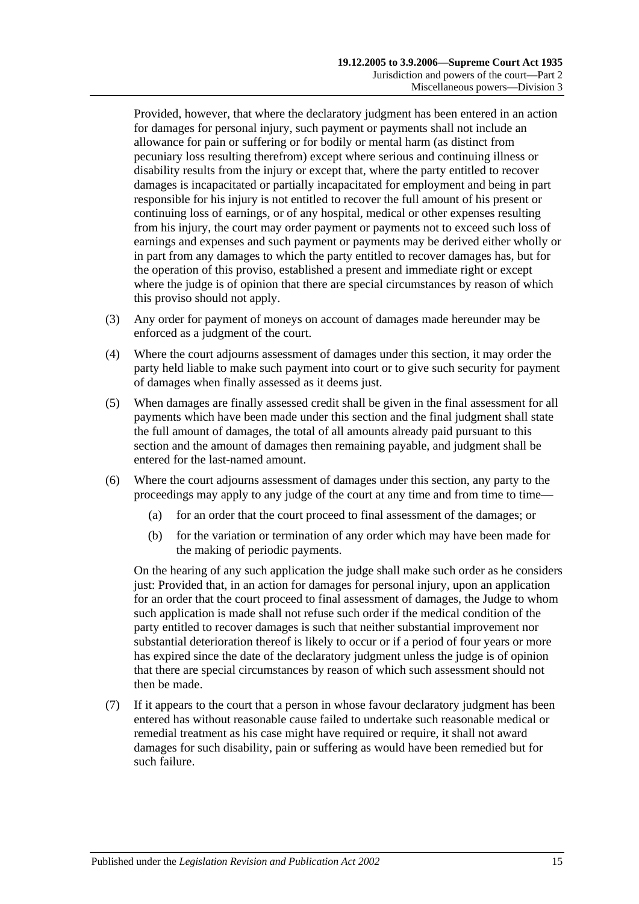Provided, however, that where the declaratory judgment has been entered in an action for damages for personal injury, such payment or payments shall not include an allowance for pain or suffering or for bodily or mental harm (as distinct from pecuniary loss resulting therefrom) except where serious and continuing illness or disability results from the injury or except that, where the party entitled to recover damages is incapacitated or partially incapacitated for employment and being in part responsible for his injury is not entitled to recover the full amount of his present or continuing loss of earnings, or of any hospital, medical or other expenses resulting from his injury, the court may order payment or payments not to exceed such loss of earnings and expenses and such payment or payments may be derived either wholly or in part from any damages to which the party entitled to recover damages has, but for the operation of this proviso, established a present and immediate right or except where the judge is of opinion that there are special circumstances by reason of which this proviso should not apply.

- (3) Any order for payment of moneys on account of damages made hereunder may be enforced as a judgment of the court.
- (4) Where the court adjourns assessment of damages under this section, it may order the party held liable to make such payment into court or to give such security for payment of damages when finally assessed as it deems just.
- (5) When damages are finally assessed credit shall be given in the final assessment for all payments which have been made under this section and the final judgment shall state the full amount of damages, the total of all amounts already paid pursuant to this section and the amount of damages then remaining payable, and judgment shall be entered for the last-named amount.
- (6) Where the court adjourns assessment of damages under this section, any party to the proceedings may apply to any judge of the court at any time and from time to time—
	- (a) for an order that the court proceed to final assessment of the damages; or
	- (b) for the variation or termination of any order which may have been made for the making of periodic payments.

On the hearing of any such application the judge shall make such order as he considers just: Provided that, in an action for damages for personal injury, upon an application for an order that the court proceed to final assessment of damages, the Judge to whom such application is made shall not refuse such order if the medical condition of the party entitled to recover damages is such that neither substantial improvement nor substantial deterioration thereof is likely to occur or if a period of four years or more has expired since the date of the declaratory judgment unless the judge is of opinion that there are special circumstances by reason of which such assessment should not then be made.

(7) If it appears to the court that a person in whose favour declaratory judgment has been entered has without reasonable cause failed to undertake such reasonable medical or remedial treatment as his case might have required or require, it shall not award damages for such disability, pain or suffering as would have been remedied but for such failure.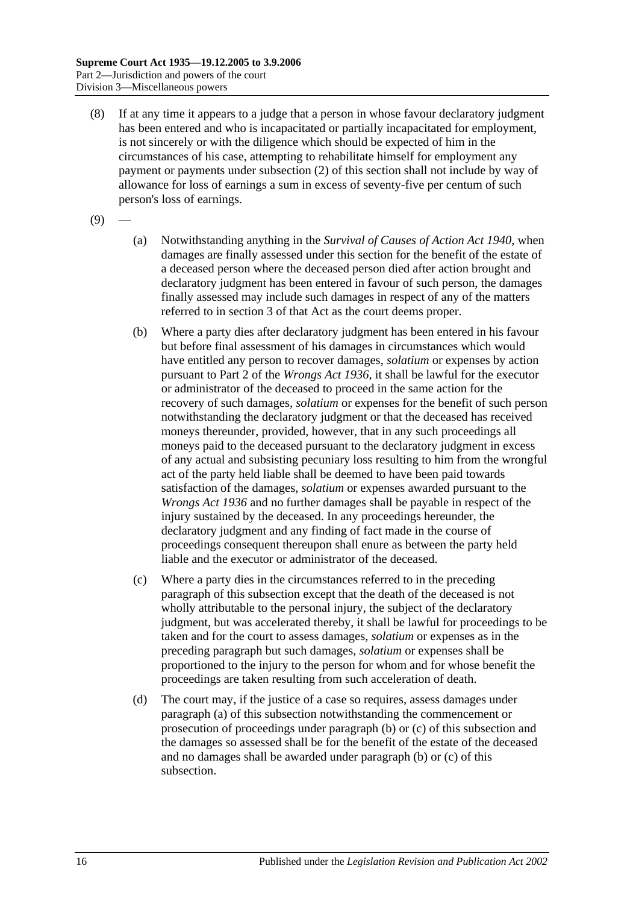- (8) If at any time it appears to a judge that a person in whose favour declaratory judgment has been entered and who is incapacitated or partially incapacitated for employment, is not sincerely or with the diligence which should be expected of him in the circumstances of his case, attempting to rehabilitate himself for employment any payment or payments under [subsection](#page-13-3) (2) of this section shall not include by way of allowance for loss of earnings a sum in excess of seventy-five per centum of such person's loss of earnings.
- <span id="page-15-0"></span> $(9)$
- (a) Notwithstanding anything in the *[Survival of Causes of Action Act](http://www.legislation.sa.gov.au/index.aspx?action=legref&type=act&legtitle=Survival%20of%20Causes%20of%20Action%20Act%201940) 1940*, when damages are finally assessed under this section for the benefit of the estate of a deceased person where the deceased person died after action brought and declaratory judgment has been entered in favour of such person, the damages finally assessed may include such damages in respect of any of the matters referred to in section 3 of that Act as the court deems proper.
- <span id="page-15-1"></span>(b) Where a party dies after declaratory judgment has been entered in his favour but before final assessment of his damages in circumstances which would have entitled any person to recover damages, *solatium* or expenses by action pursuant to Part 2 of the *[Wrongs Act](http://www.legislation.sa.gov.au/index.aspx?action=legref&type=act&legtitle=Wrongs%20Act%201936) 1936*, it shall be lawful for the executor or administrator of the deceased to proceed in the same action for the recovery of such damages, *solatium* or expenses for the benefit of such person notwithstanding the declaratory judgment or that the deceased has received moneys thereunder, provided, however, that in any such proceedings all moneys paid to the deceased pursuant to the declaratory judgment in excess of any actual and subsisting pecuniary loss resulting to him from the wrongful act of the party held liable shall be deemed to have been paid towards satisfaction of the damages, *solatium* or expenses awarded pursuant to the *[Wrongs Act](http://www.legislation.sa.gov.au/index.aspx?action=legref&type=act&legtitle=Wrongs%20Act%201936) 1936* and no further damages shall be payable in respect of the injury sustained by the deceased. In any proceedings hereunder, the declaratory judgment and any finding of fact made in the course of proceedings consequent thereupon shall enure as between the party held liable and the executor or administrator of the deceased.
- <span id="page-15-2"></span>(c) Where a party dies in the circumstances referred to in the preceding paragraph of this subsection except that the death of the deceased is not wholly attributable to the personal injury, the subject of the declaratory judgment, but was accelerated thereby, it shall be lawful for proceedings to be taken and for the court to assess damages, *solatium* or expenses as in the preceding paragraph but such damages, *solatium* or expenses shall be proportioned to the injury to the person for whom and for whose benefit the proceedings are taken resulting from such acceleration of death.
- (d) The court may, if the justice of a case so requires, assess damages under [paragraph](#page-15-0) (a) of this subsection notwithstanding the commencement or prosecution of proceedings under [paragraph](#page-15-1) (b) or [\(c\)](#page-15-2) of this subsection and the damages so assessed shall be for the benefit of the estate of the deceased and no damages shall be awarded under [paragraph](#page-15-1) (b) or [\(c\)](#page-15-2) of this subsection.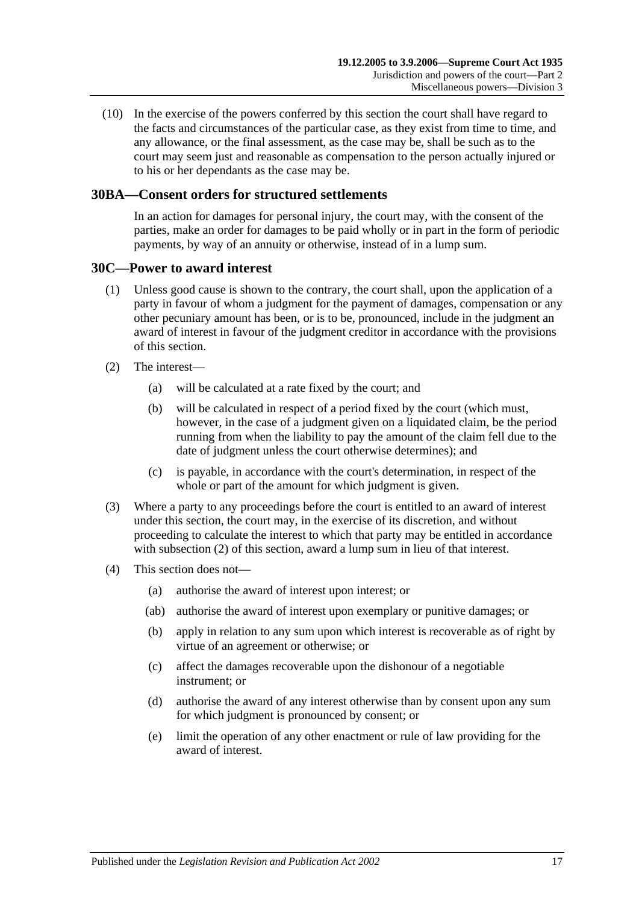(10) In the exercise of the powers conferred by this section the court shall have regard to the facts and circumstances of the particular case, as they exist from time to time, and any allowance, or the final assessment, as the case may be, shall be such as to the court may seem just and reasonable as compensation to the person actually injured or to his or her dependants as the case may be.

### <span id="page-16-0"></span>**30BA—Consent orders for structured settlements**

In an action for damages for personal injury, the court may, with the consent of the parties, make an order for damages to be paid wholly or in part in the form of periodic payments, by way of an annuity or otherwise, instead of in a lump sum.

#### <span id="page-16-1"></span>**30C—Power to award interest**

- (1) Unless good cause is shown to the contrary, the court shall, upon the application of a party in favour of whom a judgment for the payment of damages, compensation or any other pecuniary amount has been, or is to be, pronounced, include in the judgment an award of interest in favour of the judgment creditor in accordance with the provisions of this section.
- <span id="page-16-2"></span>(2) The interest—
	- (a) will be calculated at a rate fixed by the court; and
	- (b) will be calculated in respect of a period fixed by the court (which must, however, in the case of a judgment given on a liquidated claim, be the period running from when the liability to pay the amount of the claim fell due to the date of judgment unless the court otherwise determines); and
	- (c) is payable, in accordance with the court's determination, in respect of the whole or part of the amount for which judgment is given.
- (3) Where a party to any proceedings before the court is entitled to an award of interest under this section, the court may, in the exercise of its discretion, and without proceeding to calculate the interest to which that party may be entitled in accordance with [subsection](#page-16-2) (2) of this section, award a lump sum in lieu of that interest.
- (4) This section does not—
	- (a) authorise the award of interest upon interest; or
	- (ab) authorise the award of interest upon exemplary or punitive damages; or
	- (b) apply in relation to any sum upon which interest is recoverable as of right by virtue of an agreement or otherwise; or
	- (c) affect the damages recoverable upon the dishonour of a negotiable instrument; or
	- (d) authorise the award of any interest otherwise than by consent upon any sum for which judgment is pronounced by consent; or
	- (e) limit the operation of any other enactment or rule of law providing for the award of interest.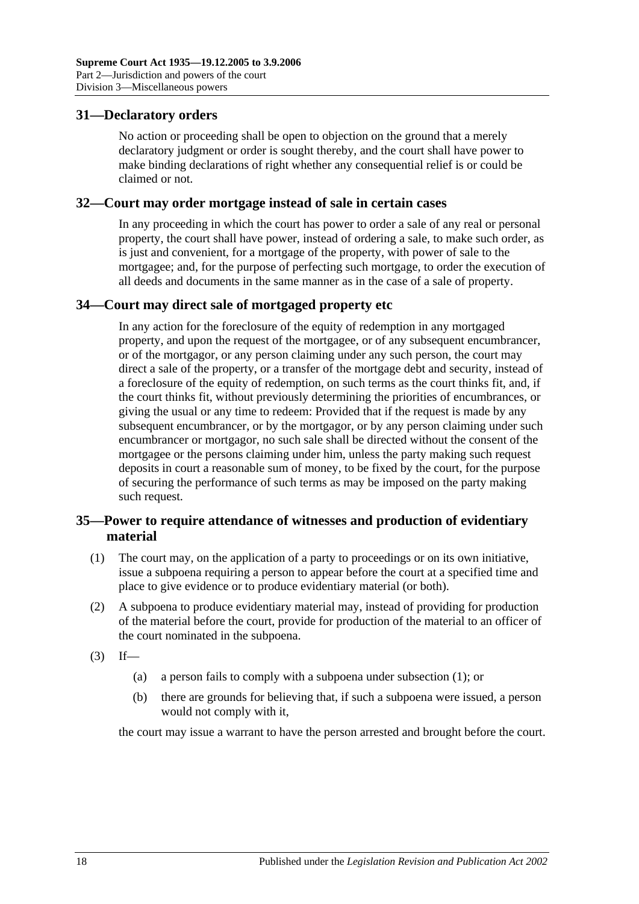## <span id="page-17-0"></span>**31—Declaratory orders**

No action or proceeding shall be open to objection on the ground that a merely declaratory judgment or order is sought thereby, and the court shall have power to make binding declarations of right whether any consequential relief is or could be claimed or not.

#### <span id="page-17-1"></span>**32—Court may order mortgage instead of sale in certain cases**

In any proceeding in which the court has power to order a sale of any real or personal property, the court shall have power, instead of ordering a sale, to make such order, as is just and convenient, for a mortgage of the property, with power of sale to the mortgagee; and, for the purpose of perfecting such mortgage, to order the execution of all deeds and documents in the same manner as in the case of a sale of property.

## <span id="page-17-2"></span>**34—Court may direct sale of mortgaged property etc**

In any action for the foreclosure of the equity of redemption in any mortgaged property, and upon the request of the mortgagee, or of any subsequent encumbrancer, or of the mortgagor, or any person claiming under any such person, the court may direct a sale of the property, or a transfer of the mortgage debt and security, instead of a foreclosure of the equity of redemption, on such terms as the court thinks fit, and, if the court thinks fit, without previously determining the priorities of encumbrances, or giving the usual or any time to redeem: Provided that if the request is made by any subsequent encumbrancer, or by the mortgagor, or by any person claiming under such encumbrancer or mortgagor, no such sale shall be directed without the consent of the mortgagee or the persons claiming under him, unless the party making such request deposits in court a reasonable sum of money, to be fixed by the court, for the purpose of securing the performance of such terms as may be imposed on the party making such request.

## <span id="page-17-3"></span>**35—Power to require attendance of witnesses and production of evidentiary material**

- <span id="page-17-4"></span>(1) The court may, on the application of a party to proceedings or on its own initiative, issue a subpoena requiring a person to appear before the court at a specified time and place to give evidence or to produce evidentiary material (or both).
- (2) A subpoena to produce evidentiary material may, instead of providing for production of the material before the court, provide for production of the material to an officer of the court nominated in the subpoena.
- $(3)$  If—
	- (a) a person fails to comply with a subpoena under [subsection](#page-17-4) (1); or
	- (b) there are grounds for believing that, if such a subpoena were issued, a person would not comply with it,

the court may issue a warrant to have the person arrested and brought before the court.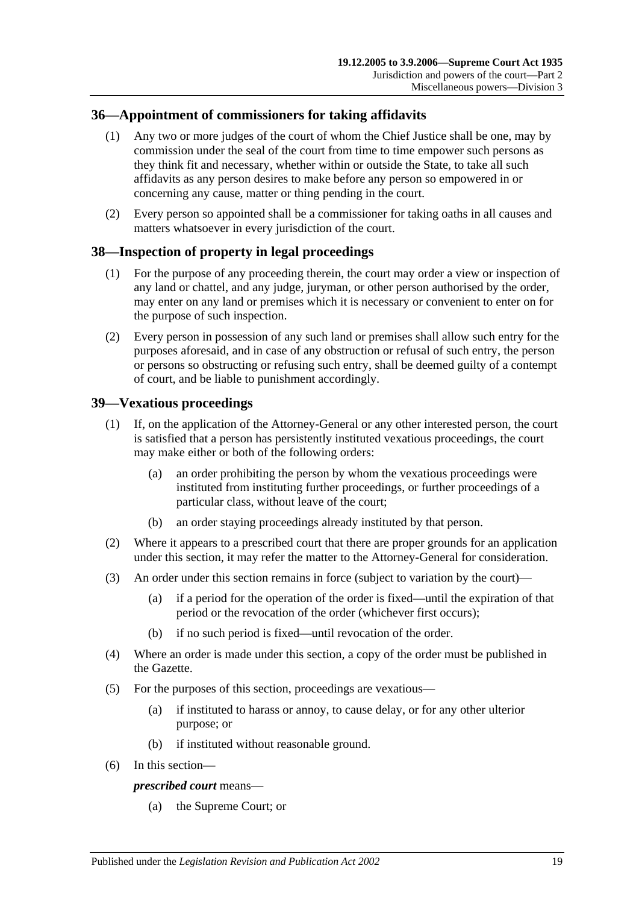## <span id="page-18-0"></span>**36—Appointment of commissioners for taking affidavits**

- (1) Any two or more judges of the court of whom the Chief Justice shall be one, may by commission under the seal of the court from time to time empower such persons as they think fit and necessary, whether within or outside the State, to take all such affidavits as any person desires to make before any person so empowered in or concerning any cause, matter or thing pending in the court.
- (2) Every person so appointed shall be a commissioner for taking oaths in all causes and matters whatsoever in every jurisdiction of the court.

## <span id="page-18-1"></span>**38—Inspection of property in legal proceedings**

- (1) For the purpose of any proceeding therein, the court may order a view or inspection of any land or chattel, and any judge, juryman, or other person authorised by the order, may enter on any land or premises which it is necessary or convenient to enter on for the purpose of such inspection.
- (2) Every person in possession of any such land or premises shall allow such entry for the purposes aforesaid, and in case of any obstruction or refusal of such entry, the person or persons so obstructing or refusing such entry, shall be deemed guilty of a contempt of court, and be liable to punishment accordingly.

## <span id="page-18-2"></span>**39—Vexatious proceedings**

- (1) If, on the application of the Attorney-General or any other interested person, the court is satisfied that a person has persistently instituted vexatious proceedings, the court may make either or both of the following orders:
	- (a) an order prohibiting the person by whom the vexatious proceedings were instituted from instituting further proceedings, or further proceedings of a particular class, without leave of the court;
	- (b) an order staying proceedings already instituted by that person.
- (2) Where it appears to a prescribed court that there are proper grounds for an application under this section, it may refer the matter to the Attorney-General for consideration.
- (3) An order under this section remains in force (subject to variation by the court)—
	- (a) if a period for the operation of the order is fixed—until the expiration of that period or the revocation of the order (whichever first occurs);
	- (b) if no such period is fixed—until revocation of the order.
- (4) Where an order is made under this section, a copy of the order must be published in the Gazette.
- (5) For the purposes of this section, proceedings are vexatious—
	- (a) if instituted to harass or annoy, to cause delay, or for any other ulterior purpose; or
	- (b) if instituted without reasonable ground.
- (6) In this section—

#### *prescribed court* means—

(a) the Supreme Court; or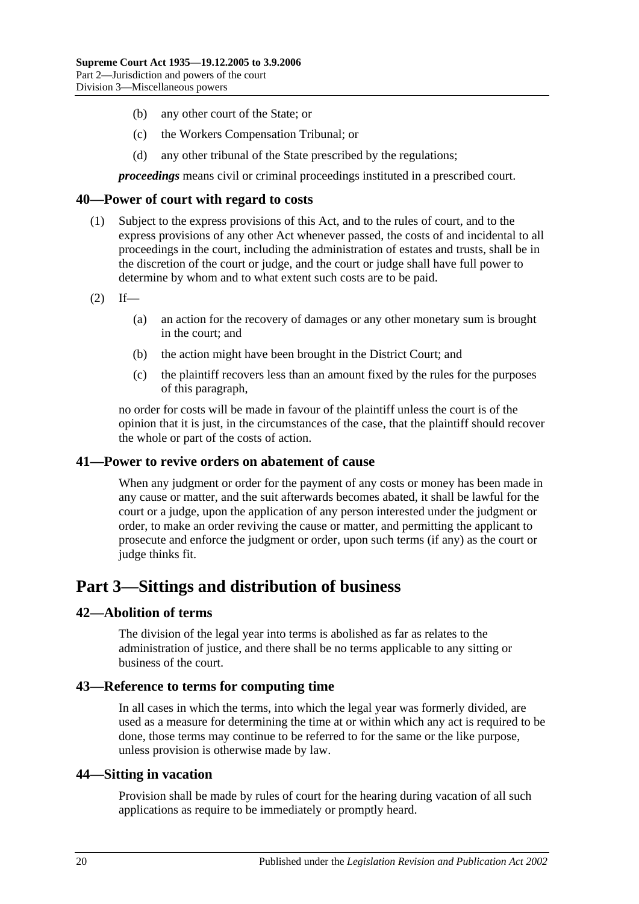- (b) any other court of the State; or
- (c) the Workers Compensation Tribunal; or
- (d) any other tribunal of the State prescribed by the regulations;

*proceedings* means civil or criminal proceedings instituted in a prescribed court.

#### <span id="page-19-0"></span>**40—Power of court with regard to costs**

- (1) Subject to the express provisions of this Act, and to the rules of court, and to the express provisions of any other Act whenever passed, the costs of and incidental to all proceedings in the court, including the administration of estates and trusts, shall be in the discretion of the court or judge, and the court or judge shall have full power to determine by whom and to what extent such costs are to be paid.
- $(2)$  If—
	- (a) an action for the recovery of damages or any other monetary sum is brought in the court; and
	- (b) the action might have been brought in the District Court; and
	- (c) the plaintiff recovers less than an amount fixed by the rules for the purposes of this paragraph,

no order for costs will be made in favour of the plaintiff unless the court is of the opinion that it is just, in the circumstances of the case, that the plaintiff should recover the whole or part of the costs of action.

#### <span id="page-19-1"></span>**41—Power to revive orders on abatement of cause**

When any judgment or order for the payment of any costs or money has been made in any cause or matter, and the suit afterwards becomes abated, it shall be lawful for the court or a judge, upon the application of any person interested under the judgment or order, to make an order reviving the cause or matter, and permitting the applicant to prosecute and enforce the judgment or order, upon such terms (if any) as the court or judge thinks fit.

# <span id="page-19-2"></span>**Part 3—Sittings and distribution of business**

#### <span id="page-19-3"></span>**42—Abolition of terms**

The division of the legal year into terms is abolished as far as relates to the administration of justice, and there shall be no terms applicable to any sitting or business of the court.

#### <span id="page-19-4"></span>**43—Reference to terms for computing time**

In all cases in which the terms, into which the legal year was formerly divided, are used as a measure for determining the time at or within which any act is required to be done, those terms may continue to be referred to for the same or the like purpose, unless provision is otherwise made by law.

#### <span id="page-19-5"></span>**44—Sitting in vacation**

Provision shall be made by rules of court for the hearing during vacation of all such applications as require to be immediately or promptly heard.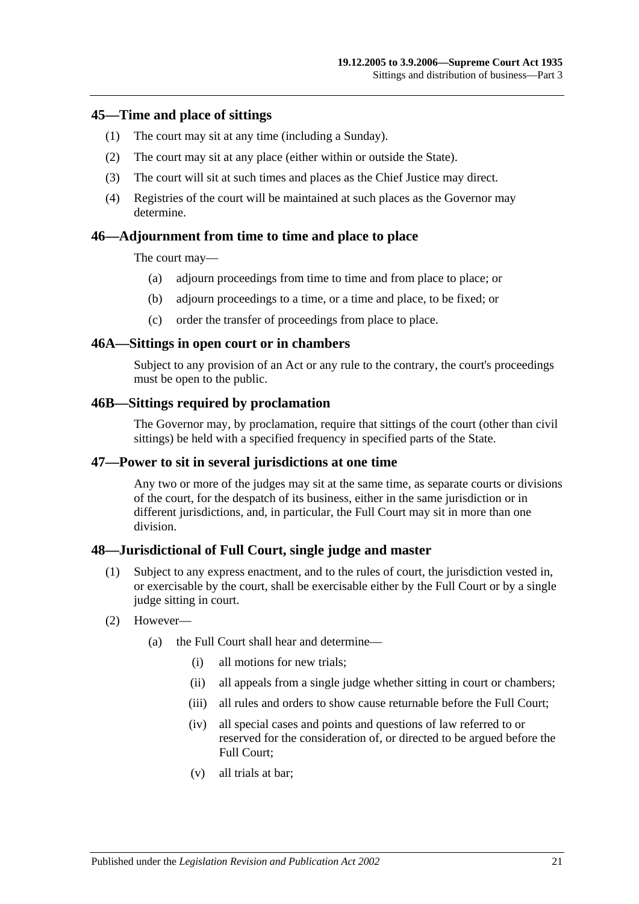#### <span id="page-20-0"></span>**45—Time and place of sittings**

- (1) The court may sit at any time (including a Sunday).
- (2) The court may sit at any place (either within or outside the State).
- (3) The court will sit at such times and places as the Chief Justice may direct.
- (4) Registries of the court will be maintained at such places as the Governor may determine.

### <span id="page-20-1"></span>**46—Adjournment from time to time and place to place**

The court may—

- (a) adjourn proceedings from time to time and from place to place; or
- (b) adjourn proceedings to a time, or a time and place, to be fixed; or
- (c) order the transfer of proceedings from place to place.

#### <span id="page-20-2"></span>**46A—Sittings in open court or in chambers**

Subject to any provision of an Act or any rule to the contrary, the court's proceedings must be open to the public.

#### <span id="page-20-3"></span>**46B—Sittings required by proclamation**

The Governor may, by proclamation, require that sittings of the court (other than civil sittings) be held with a specified frequency in specified parts of the State.

#### <span id="page-20-4"></span>**47—Power to sit in several jurisdictions at one time**

Any two or more of the judges may sit at the same time, as separate courts or divisions of the court, for the despatch of its business, either in the same jurisdiction or in different jurisdictions, and, in particular, the Full Court may sit in more than one division.

#### <span id="page-20-5"></span>**48—Jurisdictional of Full Court, single judge and master**

- (1) Subject to any express enactment, and to the rules of court, the jurisdiction vested in, or exercisable by the court, shall be exercisable either by the Full Court or by a single judge sitting in court.
- (2) However—
	- (a) the Full Court shall hear and determine—
		- (i) all motions for new trials;
		- (ii) all appeals from a single judge whether sitting in court or chambers;
		- (iii) all rules and orders to show cause returnable before the Full Court;
		- (iv) all special cases and points and questions of law referred to or reserved for the consideration of, or directed to be argued before the Full Court;
		- (v) all trials at bar;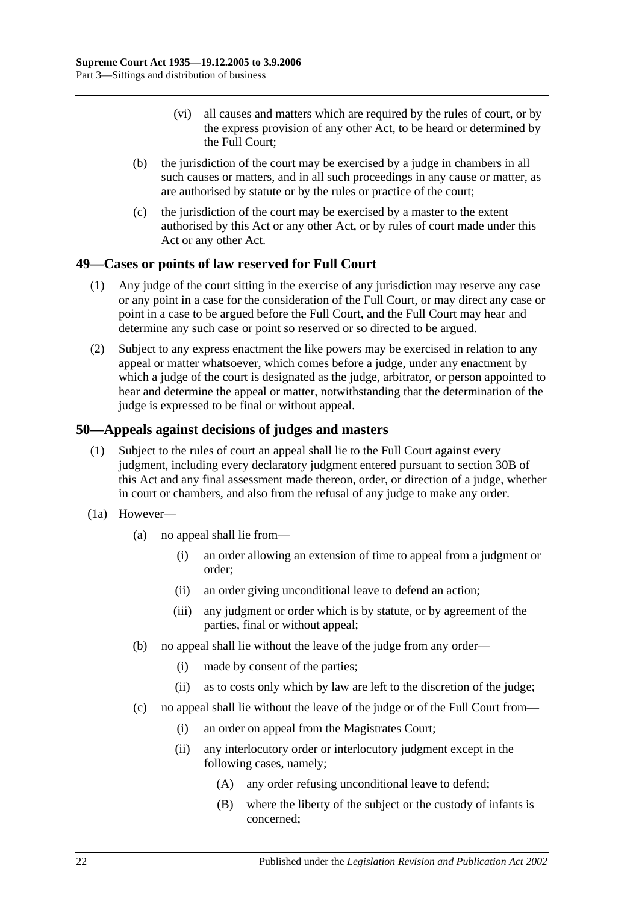- (vi) all causes and matters which are required by the rules of court, or by the express provision of any other Act, to be heard or determined by the Full Court;
- (b) the jurisdiction of the court may be exercised by a judge in chambers in all such causes or matters, and in all such proceedings in any cause or matter, as are authorised by statute or by the rules or practice of the court;
- (c) the jurisdiction of the court may be exercised by a master to the extent authorised by this Act or any other Act, or by rules of court made under this Act or any other Act.

## <span id="page-21-0"></span>**49—Cases or points of law reserved for Full Court**

- (1) Any judge of the court sitting in the exercise of any jurisdiction may reserve any case or any point in a case for the consideration of the Full Court, or may direct any case or point in a case to be argued before the Full Court, and the Full Court may hear and determine any such case or point so reserved or so directed to be argued.
- (2) Subject to any express enactment the like powers may be exercised in relation to any appeal or matter whatsoever, which comes before a judge, under any enactment by which a judge of the court is designated as the judge, arbitrator, or person appointed to hear and determine the appeal or matter, notwithstanding that the determination of the judge is expressed to be final or without appeal.

## <span id="page-21-1"></span>**50—Appeals against decisions of judges and masters**

- (1) Subject to the rules of court an appeal shall lie to the Full Court against every judgment, including every declaratory judgment entered pursuant to [section](#page-13-2) 30B of this Act and any final assessment made thereon, order, or direction of a judge, whether in court or chambers, and also from the refusal of any judge to make any order.
- (1a) However—
	- (a) no appeal shall lie from—
		- (i) an order allowing an extension of time to appeal from a judgment or order;
		- (ii) an order giving unconditional leave to defend an action;
		- (iii) any judgment or order which is by statute, or by agreement of the parties, final or without appeal;
	- (b) no appeal shall lie without the leave of the judge from any order—
		- (i) made by consent of the parties;
		- (ii) as to costs only which by law are left to the discretion of the judge;
	- (c) no appeal shall lie without the leave of the judge or of the Full Court from—
		- (i) an order on appeal from the Magistrates Court;
		- (ii) any interlocutory order or interlocutory judgment except in the following cases, namely;
			- (A) any order refusing unconditional leave to defend;
			- (B) where the liberty of the subject or the custody of infants is concerned;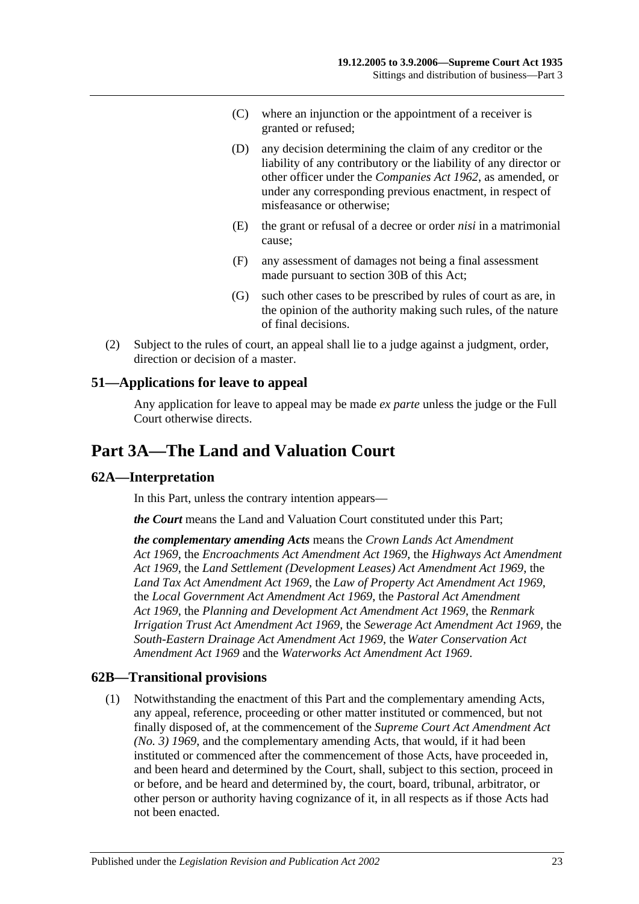- (C) where an injunction or the appointment of a receiver is granted or refused;
- (D) any decision determining the claim of any creditor or the liability of any contributory or the liability of any director or other officer under the *[Companies Act](http://www.legislation.sa.gov.au/index.aspx?action=legref&type=act&legtitle=Companies%20Act%201962) 1962*, as amended, or under any corresponding previous enactment, in respect of misfeasance or otherwise;
- (E) the grant or refusal of a decree or order *nisi* in a matrimonial cause;
- (F) any assessment of damages not being a final assessment made pursuant to [section](#page-13-2) 30B of this Act;
- (G) such other cases to be prescribed by rules of court as are, in the opinion of the authority making such rules, of the nature of final decisions.
- (2) Subject to the rules of court, an appeal shall lie to a judge against a judgment, order, direction or decision of a master.

### <span id="page-22-0"></span>**51—Applications for leave to appeal**

Any application for leave to appeal may be made *ex parte* unless the judge or the Full Court otherwise directs.

# <span id="page-22-1"></span>**Part 3A—The Land and Valuation Court**

## <span id="page-22-2"></span>**62A—Interpretation**

In this Part, unless the contrary intention appears—

*the Court* means the Land and Valuation Court constituted under this Part;

*the complementary amending Acts* means the *[Crown Lands Act Amendment](http://www.legislation.sa.gov.au/index.aspx?action=legref&type=act&legtitle=Crown%20Lands%20Act%20Amendment%20Act%201969)  Act [1969](http://www.legislation.sa.gov.au/index.aspx?action=legref&type=act&legtitle=Crown%20Lands%20Act%20Amendment%20Act%201969)*, the *[Encroachments Act Amendment Act](http://www.legislation.sa.gov.au/index.aspx?action=legref&type=act&legtitle=Encroachments%20Act%20Amendment%20Act%201969) 1969*, the *[Highways Act Amendment](http://www.legislation.sa.gov.au/index.aspx?action=legref&type=act&legtitle=Highways%20Act%20Amendment%20Act%201969)  Act [1969](http://www.legislation.sa.gov.au/index.aspx?action=legref&type=act&legtitle=Highways%20Act%20Amendment%20Act%201969)*, the *[Land Settlement \(Development Leases\) Act Amendment Act](http://www.legislation.sa.gov.au/index.aspx?action=legref&type=act&legtitle=Land%20Settlement%20(Development%20Leases)%20Act%20Amendment%20Act%201969) 1969*, the *[Land Tax Act Amendment Act](http://www.legislation.sa.gov.au/index.aspx?action=legref&type=act&legtitle=Land%20Tax%20Act%20Amendment%20Act%201969) 1969*, the *[Law of Property Act Amendment Act](http://www.legislation.sa.gov.au/index.aspx?action=legref&type=act&legtitle=Law%20of%20Property%20Act%20Amendment%20Act%201969) 1969*, the *[Local Government Act Amendment Act](http://www.legislation.sa.gov.au/index.aspx?action=legref&type=act&legtitle=Local%20Government%20Act%20Amendment%20Act%201969) 1969*, the *[Pastoral Act Amendment](http://www.legislation.sa.gov.au/index.aspx?action=legref&type=act&legtitle=Pastoral%20Act%20Amendment%20Act%201969)  Act [1969](http://www.legislation.sa.gov.au/index.aspx?action=legref&type=act&legtitle=Pastoral%20Act%20Amendment%20Act%201969)*, the *[Planning and Development Act Amendment Act](http://www.legislation.sa.gov.au/index.aspx?action=legref&type=act&legtitle=Planning%20and%20Development%20Act%20Amendment%20Act%201969) 1969*, the *[Renmark](http://www.legislation.sa.gov.au/index.aspx?action=legref&type=act&legtitle=Renmark%20Irrigation%20Trust%20Act%20Amendment%20Act%201969)  [Irrigation Trust Act Amendment Act](http://www.legislation.sa.gov.au/index.aspx?action=legref&type=act&legtitle=Renmark%20Irrigation%20Trust%20Act%20Amendment%20Act%201969) 1969*, the *[Sewerage Act Amendment Act](http://www.legislation.sa.gov.au/index.aspx?action=legref&type=act&legtitle=Sewerage%20Act%20Amendment%20Act%201969) 1969*, the *[South-Eastern Drainage Act Amendment Act](http://www.legislation.sa.gov.au/index.aspx?action=legref&type=act&legtitle=South-Eastern%20Drainage%20Act%20Amendment%20Act%201969) 1969*, the *[Water Conservation Act](http://www.legislation.sa.gov.au/index.aspx?action=legref&type=act&legtitle=Water%20Conservation%20Act%20Amendment%20Act%201969)  [Amendment Act](http://www.legislation.sa.gov.au/index.aspx?action=legref&type=act&legtitle=Water%20Conservation%20Act%20Amendment%20Act%201969) 1969* and the *[Waterworks Act Amendment Act](http://www.legislation.sa.gov.au/index.aspx?action=legref&type=act&legtitle=Waterworks%20Act%20Amendment%20Act%201969) 1969*.

#### <span id="page-22-4"></span><span id="page-22-3"></span>**62B—Transitional provisions**

(1) Notwithstanding the enactment of this Part and the complementary amending Acts, any appeal, reference, proceeding or other matter instituted or commenced, but not finally disposed of, at the commencement of the *[Supreme Court Act Amendment Act](http://www.legislation.sa.gov.au/index.aspx?action=legref&type=act&legtitle=Supreme%20Court%20Act%20Amendment%20Act%20(No.%203)%201969)  [\(No. 3\)](http://www.legislation.sa.gov.au/index.aspx?action=legref&type=act&legtitle=Supreme%20Court%20Act%20Amendment%20Act%20(No.%203)%201969) 1969*, and the complementary amending Acts, that would, if it had been instituted or commenced after the commencement of those Acts, have proceeded in, and been heard and determined by the Court, shall, subject to this section, proceed in or before, and be heard and determined by, the court, board, tribunal, arbitrator, or other person or authority having cognizance of it, in all respects as if those Acts had not been enacted.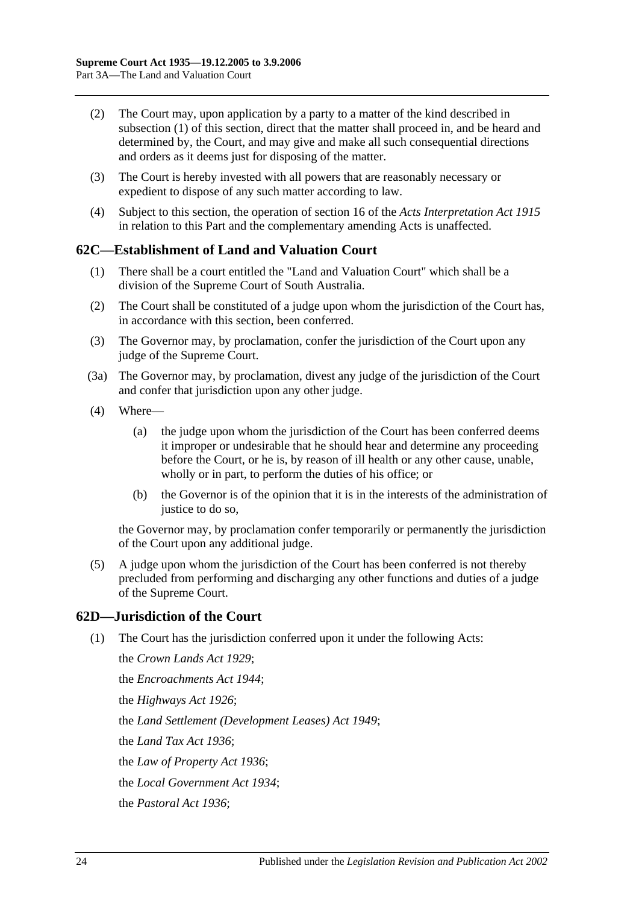- (2) The Court may, upon application by a party to a matter of the kind described in [subsection](#page-22-4) (1) of this section, direct that the matter shall proceed in, and be heard and determined by, the Court, and may give and make all such consequential directions and orders as it deems just for disposing of the matter.
- (3) The Court is hereby invested with all powers that are reasonably necessary or expedient to dispose of any such matter according to law.
- (4) Subject to this section, the operation of section 16 of the *[Acts Interpretation Act](http://www.legislation.sa.gov.au/index.aspx?action=legref&type=act&legtitle=Acts%20Interpretation%20Act%201915) 1915* in relation to this Part and the complementary amending Acts is unaffected.

### <span id="page-23-0"></span>**62C—Establishment of Land and Valuation Court**

- (1) There shall be a court entitled the "Land and Valuation Court" which shall be a division of the Supreme Court of South Australia.
- (2) The Court shall be constituted of a judge upon whom the jurisdiction of the Court has, in accordance with this section, been conferred.
- (3) The Governor may, by proclamation, confer the jurisdiction of the Court upon any judge of the Supreme Court.
- (3a) The Governor may, by proclamation, divest any judge of the jurisdiction of the Court and confer that jurisdiction upon any other judge.
- (4) Where—
	- (a) the judge upon whom the jurisdiction of the Court has been conferred deems it improper or undesirable that he should hear and determine any proceeding before the Court, or he is, by reason of ill health or any other cause, unable, wholly or in part, to perform the duties of his office; or
	- (b) the Governor is of the opinion that it is in the interests of the administration of justice to do so,

the Governor may, by proclamation confer temporarily or permanently the jurisdiction of the Court upon any additional judge.

(5) A judge upon whom the jurisdiction of the Court has been conferred is not thereby precluded from performing and discharging any other functions and duties of a judge of the Supreme Court.

## <span id="page-23-1"></span>**62D—Jurisdiction of the Court**

(1) The Court has the jurisdiction conferred upon it under the following Acts:

the *[Crown Lands Act](http://www.legislation.sa.gov.au/index.aspx?action=legref&type=act&legtitle=Crown%20Lands%20Act%201929) 1929*; the *[Encroachments Act](http://www.legislation.sa.gov.au/index.aspx?action=legref&type=act&legtitle=Encroachments%20Act%201944) 1944*; the *[Highways Act](http://www.legislation.sa.gov.au/index.aspx?action=legref&type=act&legtitle=Highways%20Act%201926) 1926*; the *[Land Settlement \(Development Leases\) Act](http://www.legislation.sa.gov.au/index.aspx?action=legref&type=act&legtitle=Land%20Settlement%20(Development%20Leases)%20Act%201949) 1949*; the *[Land Tax Act](http://www.legislation.sa.gov.au/index.aspx?action=legref&type=act&legtitle=Land%20Tax%20Act%201936) 1936*; the *[Law of Property Act](http://www.legislation.sa.gov.au/index.aspx?action=legref&type=act&legtitle=Law%20of%20Property%20Act%201936) 1936*; the *[Local Government Act](http://www.legislation.sa.gov.au/index.aspx?action=legref&type=act&legtitle=Local%20Government%20Act%201934) 1934*; the *[Pastoral Act](http://www.legislation.sa.gov.au/index.aspx?action=legref&type=act&legtitle=Pastoral%20Act%201936) 1936*;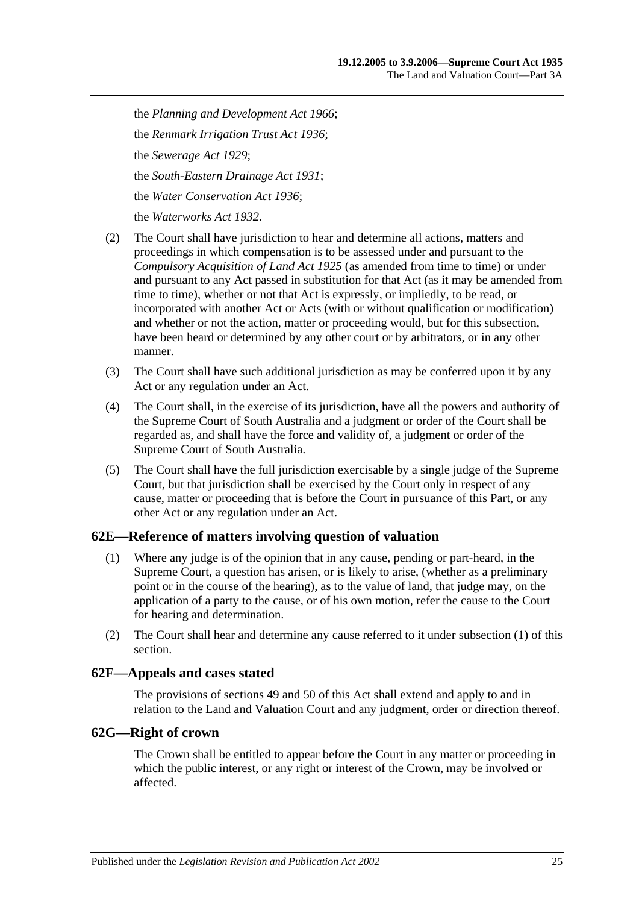the *[Planning and Development Act](http://www.legislation.sa.gov.au/index.aspx?action=legref&type=act&legtitle=Planning%20and%20Development%20Act%201966) 1966*; the *[Renmark Irrigation Trust Act](http://www.legislation.sa.gov.au/index.aspx?action=legref&type=act&legtitle=Renmark%20Irrigation%20Trust%20Act%201936) 1936*; the *[Sewerage Act](http://www.legislation.sa.gov.au/index.aspx?action=legref&type=act&legtitle=Sewerage%20Act%201929) 1929*; the *[South-Eastern Drainage Act](http://www.legislation.sa.gov.au/index.aspx?action=legref&type=act&legtitle=South-Eastern%20Drainage%20Act%201931) 1931*; the *[Water Conservation Act](http://www.legislation.sa.gov.au/index.aspx?action=legref&type=act&legtitle=Water%20Conservation%20Act%201936) 1936*; the *[Waterworks Act](http://www.legislation.sa.gov.au/index.aspx?action=legref&type=act&legtitle=Waterworks%20Act%201932) 1932*.

- (2) The Court shall have jurisdiction to hear and determine all actions, matters and proceedings in which compensation is to be assessed under and pursuant to the *[Compulsory Acquisition of Land Act](http://www.legislation.sa.gov.au/index.aspx?action=legref&type=act&legtitle=Compulsory%20Acquisition%20of%20Land%20Act%201925) 1925* (as amended from time to time) or under and pursuant to any Act passed in substitution for that Act (as it may be amended from time to time), whether or not that Act is expressly, or impliedly, to be read, or incorporated with another Act or Acts (with or without qualification or modification) and whether or not the action, matter or proceeding would, but for this subsection, have been heard or determined by any other court or by arbitrators, or in any other manner.
- (3) The Court shall have such additional jurisdiction as may be conferred upon it by any Act or any regulation under an Act.
- (4) The Court shall, in the exercise of its jurisdiction, have all the powers and authority of the Supreme Court of South Australia and a judgment or order of the Court shall be regarded as, and shall have the force and validity of, a judgment or order of the Supreme Court of South Australia.
- (5) The Court shall have the full jurisdiction exercisable by a single judge of the Supreme Court, but that jurisdiction shall be exercised by the Court only in respect of any cause, matter or proceeding that is before the Court in pursuance of this Part, or any other Act or any regulation under an Act.

## <span id="page-24-3"></span><span id="page-24-0"></span>**62E—Reference of matters involving question of valuation**

- (1) Where any judge is of the opinion that in any cause, pending or part-heard, in the Supreme Court, a question has arisen, or is likely to arise, (whether as a preliminary point or in the course of the hearing), as to the value of land, that judge may, on the application of a party to the cause, or of his own motion, refer the cause to the Court for hearing and determination.
- (2) The Court shall hear and determine any cause referred to it under [subsection](#page-24-3) (1) of this section.

## <span id="page-24-1"></span>**62F—Appeals and cases stated**

The provisions of [sections](#page-21-0) 49 and [50](#page-21-1) of this Act shall extend and apply to and in relation to the Land and Valuation Court and any judgment, order or direction thereof.

## <span id="page-24-2"></span>**62G—Right of crown**

The Crown shall be entitled to appear before the Court in any matter or proceeding in which the public interest, or any right or interest of the Crown, may be involved or affected.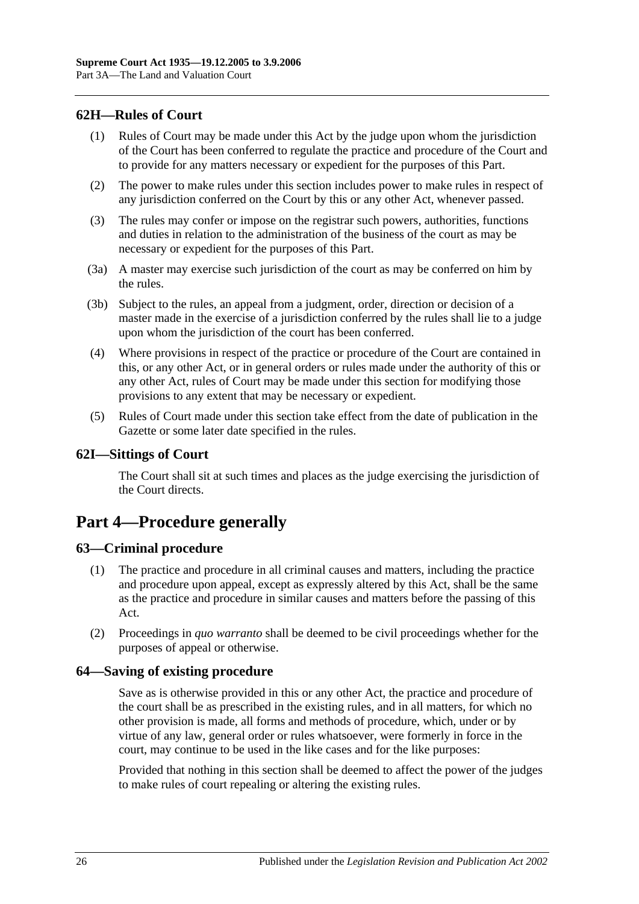## <span id="page-25-0"></span>**62H—Rules of Court**

- (1) Rules of Court may be made under this Act by the judge upon whom the jurisdiction of the Court has been conferred to regulate the practice and procedure of the Court and to provide for any matters necessary or expedient for the purposes of this Part.
- (2) The power to make rules under this section includes power to make rules in respect of any jurisdiction conferred on the Court by this or any other Act, whenever passed.
- (3) The rules may confer or impose on the registrar such powers, authorities, functions and duties in relation to the administration of the business of the court as may be necessary or expedient for the purposes of this Part.
- (3a) A master may exercise such jurisdiction of the court as may be conferred on him by the rules.
- (3b) Subject to the rules, an appeal from a judgment, order, direction or decision of a master made in the exercise of a jurisdiction conferred by the rules shall lie to a judge upon whom the jurisdiction of the court has been conferred.
- (4) Where provisions in respect of the practice or procedure of the Court are contained in this, or any other Act, or in general orders or rules made under the authority of this or any other Act, rules of Court may be made under this section for modifying those provisions to any extent that may be necessary or expedient.
- (5) Rules of Court made under this section take effect from the date of publication in the Gazette or some later date specified in the rules.

### <span id="page-25-1"></span>**62I—Sittings of Court**

The Court shall sit at such times and places as the judge exercising the jurisdiction of the Court directs.

# <span id="page-25-2"></span>**Part 4—Procedure generally**

## <span id="page-25-3"></span>**63—Criminal procedure**

- (1) The practice and procedure in all criminal causes and matters, including the practice and procedure upon appeal, except as expressly altered by this Act, shall be the same as the practice and procedure in similar causes and matters before the passing of this Act.
- (2) Proceedings in *quo warranto* shall be deemed to be civil proceedings whether for the purposes of appeal or otherwise.

## <span id="page-25-4"></span>**64—Saving of existing procedure**

Save as is otherwise provided in this or any other Act, the practice and procedure of the court shall be as prescribed in the existing rules, and in all matters, for which no other provision is made, all forms and methods of procedure, which, under or by virtue of any law, general order or rules whatsoever, were formerly in force in the court, may continue to be used in the like cases and for the like purposes:

Provided that nothing in this section shall be deemed to affect the power of the judges to make rules of court repealing or altering the existing rules.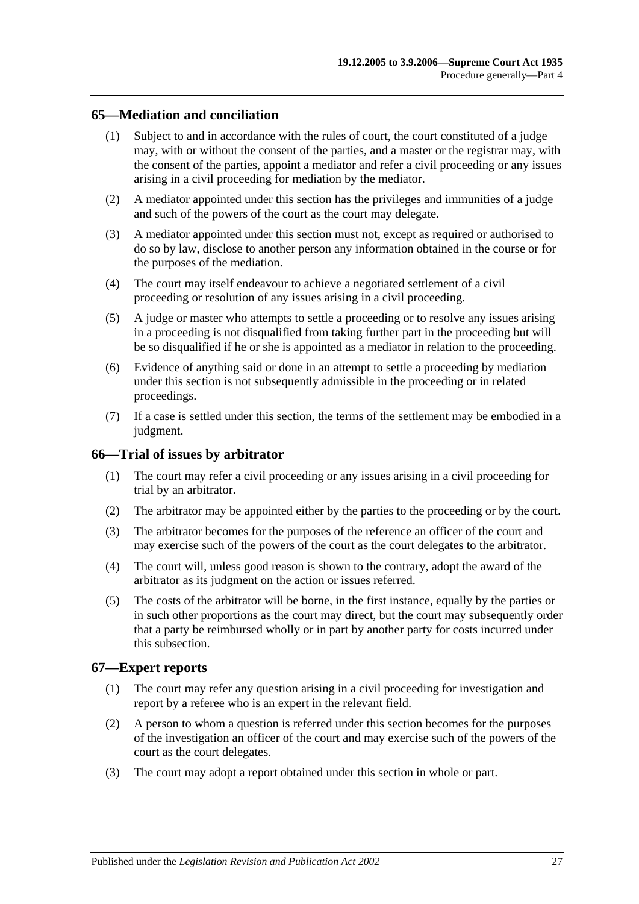## <span id="page-26-0"></span>**65—Mediation and conciliation**

- (1) Subject to and in accordance with the rules of court, the court constituted of a judge may, with or without the consent of the parties, and a master or the registrar may, with the consent of the parties, appoint a mediator and refer a civil proceeding or any issues arising in a civil proceeding for mediation by the mediator.
- (2) A mediator appointed under this section has the privileges and immunities of a judge and such of the powers of the court as the court may delegate.
- (3) A mediator appointed under this section must not, except as required or authorised to do so by law, disclose to another person any information obtained in the course or for the purposes of the mediation.
- (4) The court may itself endeavour to achieve a negotiated settlement of a civil proceeding or resolution of any issues arising in a civil proceeding.
- (5) A judge or master who attempts to settle a proceeding or to resolve any issues arising in a proceeding is not disqualified from taking further part in the proceeding but will be so disqualified if he or she is appointed as a mediator in relation to the proceeding.
- (6) Evidence of anything said or done in an attempt to settle a proceeding by mediation under this section is not subsequently admissible in the proceeding or in related proceedings.
- (7) If a case is settled under this section, the terms of the settlement may be embodied in a judgment.

#### <span id="page-26-1"></span>**66—Trial of issues by arbitrator**

- (1) The court may refer a civil proceeding or any issues arising in a civil proceeding for trial by an arbitrator.
- (2) The arbitrator may be appointed either by the parties to the proceeding or by the court.
- (3) The arbitrator becomes for the purposes of the reference an officer of the court and may exercise such of the powers of the court as the court delegates to the arbitrator.
- (4) The court will, unless good reason is shown to the contrary, adopt the award of the arbitrator as its judgment on the action or issues referred.
- (5) The costs of the arbitrator will be borne, in the first instance, equally by the parties or in such other proportions as the court may direct, but the court may subsequently order that a party be reimbursed wholly or in part by another party for costs incurred under this subsection.

#### <span id="page-26-2"></span>**67—Expert reports**

- (1) The court may refer any question arising in a civil proceeding for investigation and report by a referee who is an expert in the relevant field.
- (2) A person to whom a question is referred under this section becomes for the purposes of the investigation an officer of the court and may exercise such of the powers of the court as the court delegates.
- (3) The court may adopt a report obtained under this section in whole or part.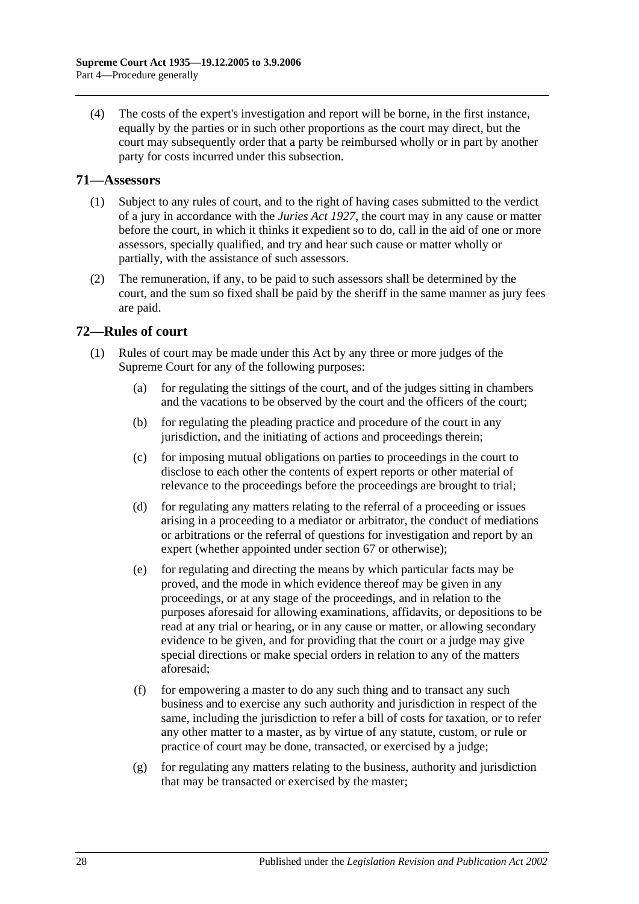(4) The costs of the expert's investigation and report will be borne, in the first instance, equally by the parties or in such other proportions as the court may direct, but the court may subsequently order that a party be reimbursed wholly or in part by another party for costs incurred under this subsection.

### <span id="page-27-0"></span>**71—Assessors**

- (1) Subject to any rules of court, and to the right of having cases submitted to the verdict of a jury in accordance with the *[Juries Act](http://www.legislation.sa.gov.au/index.aspx?action=legref&type=act&legtitle=Juries%20Act%201927) 1927*, the court may in any cause or matter before the court, in which it thinks it expedient so to do, call in the aid of one or more assessors, specially qualified, and try and hear such cause or matter wholly or partially, with the assistance of such assessors.
- (2) The remuneration, if any, to be paid to such assessors shall be determined by the court, and the sum so fixed shall be paid by the sheriff in the same manner as jury fees are paid.

## <span id="page-27-1"></span>**72—Rules of court**

- (1) Rules of court may be made under this Act by any three or more judges of the Supreme Court for any of the following purposes:
	- (a) for regulating the sittings of the court, and of the judges sitting in chambers and the vacations to be observed by the court and the officers of the court;
	- (b) for regulating the pleading practice and procedure of the court in any jurisdiction, and the initiating of actions and proceedings therein;
	- (c) for imposing mutual obligations on parties to proceedings in the court to disclose to each other the contents of expert reports or other material of relevance to the proceedings before the proceedings are brought to trial;
	- (d) for regulating any matters relating to the referral of a proceeding or issues arising in a proceeding to a mediator or arbitrator, the conduct of mediations or arbitrations or the referral of questions for investigation and report by an expert (whether appointed under [section](#page-26-2) 67 or otherwise);
	- (e) for regulating and directing the means by which particular facts may be proved, and the mode in which evidence thereof may be given in any proceedings, or at any stage of the proceedings, and in relation to the purposes aforesaid for allowing examinations, affidavits, or depositions to be read at any trial or hearing, or in any cause or matter, or allowing secondary evidence to be given, and for providing that the court or a judge may give special directions or make special orders in relation to any of the matters aforesaid;
	- (f) for empowering a master to do any such thing and to transact any such business and to exercise any such authority and jurisdiction in respect of the same, including the jurisdiction to refer a bill of costs for taxation, or to refer any other matter to a master, as by virtue of any statute, custom, or rule or practice of court may be done, transacted, or exercised by a judge;
	- (g) for regulating any matters relating to the business, authority and jurisdiction that may be transacted or exercised by the master;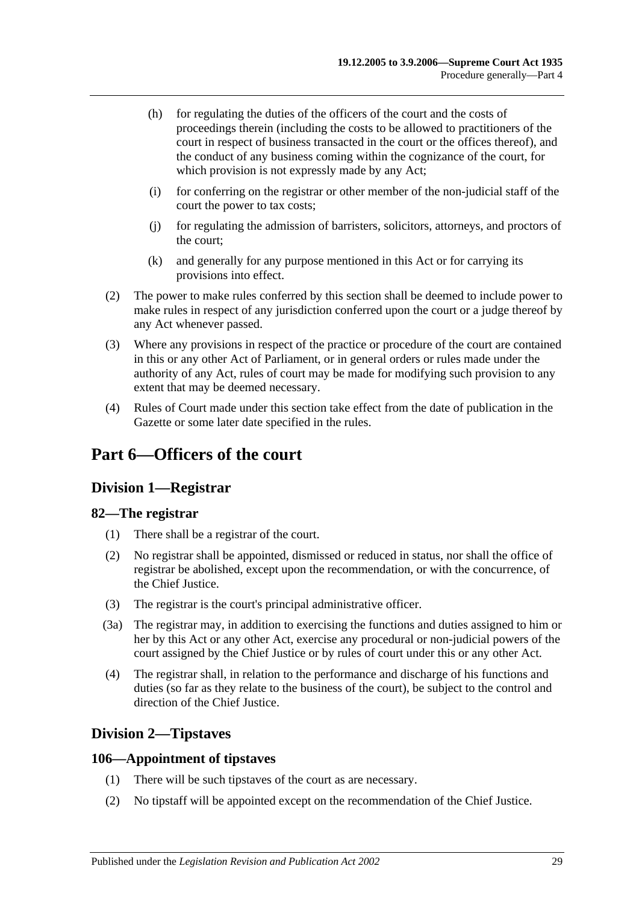- (h) for regulating the duties of the officers of the court and the costs of proceedings therein (including the costs to be allowed to practitioners of the court in respect of business transacted in the court or the offices thereof), and the conduct of any business coming within the cognizance of the court, for which provision is not expressly made by any Act;
- (i) for conferring on the registrar or other member of the non-judicial staff of the court the power to tax costs;
- (j) for regulating the admission of barristers, solicitors, attorneys, and proctors of the court;
- (k) and generally for any purpose mentioned in this Act or for carrying its provisions into effect.
- (2) The power to make rules conferred by this section shall be deemed to include power to make rules in respect of any jurisdiction conferred upon the court or a judge thereof by any Act whenever passed.
- (3) Where any provisions in respect of the practice or procedure of the court are contained in this or any other Act of Parliament, or in general orders or rules made under the authority of any Act, rules of court may be made for modifying such provision to any extent that may be deemed necessary.
- (4) Rules of Court made under this section take effect from the date of publication in the Gazette or some later date specified in the rules.

# <span id="page-28-1"></span><span id="page-28-0"></span>**Part 6—Officers of the court**

## **Division 1—Registrar**

## <span id="page-28-2"></span>**82—The registrar**

- (1) There shall be a registrar of the court.
- (2) No registrar shall be appointed, dismissed or reduced in status, nor shall the office of registrar be abolished, except upon the recommendation, or with the concurrence, of the Chief Justice.
- (3) The registrar is the court's principal administrative officer.
- (3a) The registrar may, in addition to exercising the functions and duties assigned to him or her by this Act or any other Act, exercise any procedural or non-judicial powers of the court assigned by the Chief Justice or by rules of court under this or any other Act.
- (4) The registrar shall, in relation to the performance and discharge of his functions and duties (so far as they relate to the business of the court), be subject to the control and direction of the Chief Justice.

## <span id="page-28-3"></span>**Division 2—Tipstaves**

## <span id="page-28-4"></span>**106—Appointment of tipstaves**

- (1) There will be such tipstaves of the court as are necessary.
- (2) No tipstaff will be appointed except on the recommendation of the Chief Justice.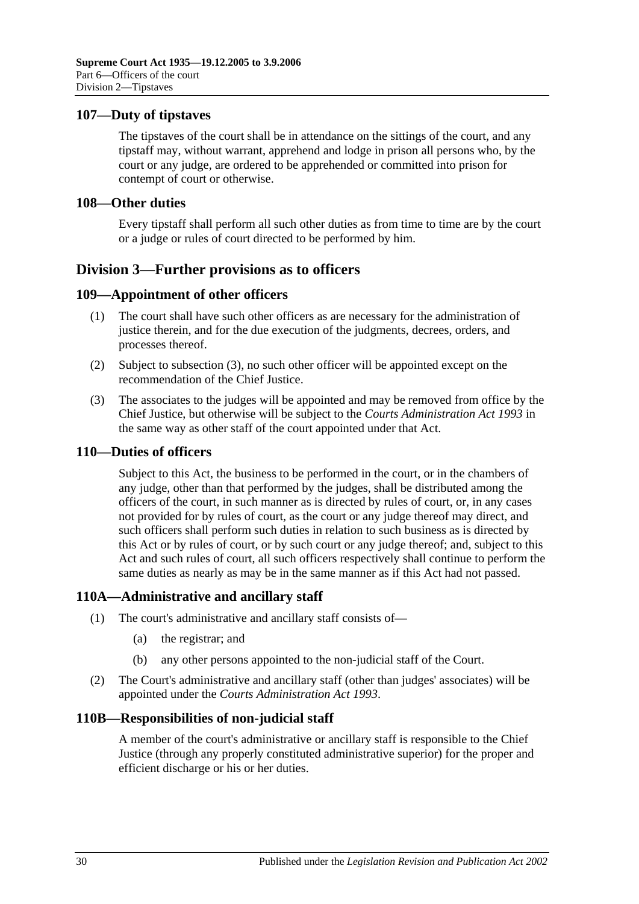### <span id="page-29-0"></span>**107—Duty of tipstaves**

The tipstaves of the court shall be in attendance on the sittings of the court, and any tipstaff may, without warrant, apprehend and lodge in prison all persons who, by the court or any judge, are ordered to be apprehended or committed into prison for contempt of court or otherwise.

#### <span id="page-29-1"></span>**108—Other duties**

Every tipstaff shall perform all such other duties as from time to time are by the court or a judge or rules of court directed to be performed by him.

## <span id="page-29-2"></span>**Division 3—Further provisions as to officers**

### <span id="page-29-3"></span>**109—Appointment of other officers**

- (1) The court shall have such other officers as are necessary for the administration of justice therein, and for the due execution of the judgments, decrees, orders, and processes thereof.
- (2) Subject to [subsection](#page-29-7) (3), no such other officer will be appointed except on the recommendation of the Chief Justice.
- <span id="page-29-7"></span>(3) The associates to the judges will be appointed and may be removed from office by the Chief Justice, but otherwise will be subject to the *[Courts Administration Act](http://www.legislation.sa.gov.au/index.aspx?action=legref&type=act&legtitle=Courts%20Administration%20Act%201993) 1993* in the same way as other staff of the court appointed under that Act.

#### <span id="page-29-4"></span>**110—Duties of officers**

Subject to this Act, the business to be performed in the court, or in the chambers of any judge, other than that performed by the judges, shall be distributed among the officers of the court, in such manner as is directed by rules of court, or, in any cases not provided for by rules of court, as the court or any judge thereof may direct, and such officers shall perform such duties in relation to such business as is directed by this Act or by rules of court, or by such court or any judge thereof; and, subject to this Act and such rules of court, all such officers respectively shall continue to perform the same duties as nearly as may be in the same manner as if this Act had not passed.

#### <span id="page-29-5"></span>**110A—Administrative and ancillary staff**

- (1) The court's administrative and ancillary staff consists of—
	- (a) the registrar; and
	- (b) any other persons appointed to the non-judicial staff of the Court.
- (2) The Court's administrative and ancillary staff (other than judges' associates) will be appointed under the *[Courts Administration Act](http://www.legislation.sa.gov.au/index.aspx?action=legref&type=act&legtitle=Courts%20Administration%20Act%201993) 1993*.

#### <span id="page-29-6"></span>**110B—Responsibilities of non-judicial staff**

A member of the court's administrative or ancillary staff is responsible to the Chief Justice (through any properly constituted administrative superior) for the proper and efficient discharge or his or her duties.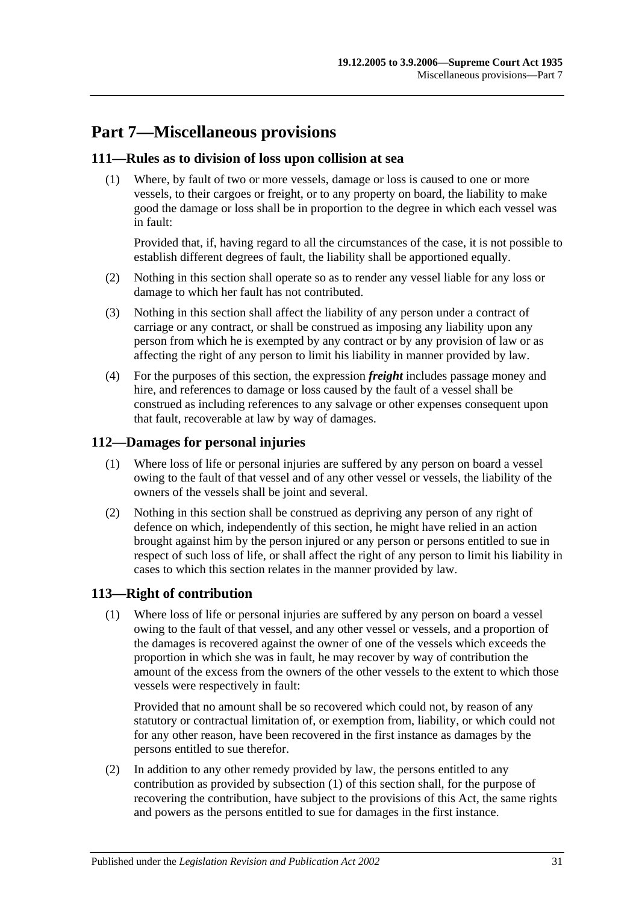# <span id="page-30-0"></span>**Part 7—Miscellaneous provisions**

## <span id="page-30-1"></span>**111—Rules as to division of loss upon collision at sea**

(1) Where, by fault of two or more vessels, damage or loss is caused to one or more vessels, to their cargoes or freight, or to any property on board, the liability to make good the damage or loss shall be in proportion to the degree in which each vessel was in fault:

Provided that, if, having regard to all the circumstances of the case, it is not possible to establish different degrees of fault, the liability shall be apportioned equally.

- (2) Nothing in this section shall operate so as to render any vessel liable for any loss or damage to which her fault has not contributed.
- (3) Nothing in this section shall affect the liability of any person under a contract of carriage or any contract, or shall be construed as imposing any liability upon any person from which he is exempted by any contract or by any provision of law or as affecting the right of any person to limit his liability in manner provided by law.
- (4) For the purposes of this section, the expression *freight* includes passage money and hire, and references to damage or loss caused by the fault of a vessel shall be construed as including references to any salvage or other expenses consequent upon that fault, recoverable at law by way of damages.

## <span id="page-30-2"></span>**112—Damages for personal injuries**

- (1) Where loss of life or personal injuries are suffered by any person on board a vessel owing to the fault of that vessel and of any other vessel or vessels, the liability of the owners of the vessels shall be joint and several.
- (2) Nothing in this section shall be construed as depriving any person of any right of defence on which, independently of this section, he might have relied in an action brought against him by the person injured or any person or persons entitled to sue in respect of such loss of life, or shall affect the right of any person to limit his liability in cases to which this section relates in the manner provided by law.

## <span id="page-30-4"></span><span id="page-30-3"></span>**113—Right of contribution**

(1) Where loss of life or personal injuries are suffered by any person on board a vessel owing to the fault of that vessel, and any other vessel or vessels, and a proportion of the damages is recovered against the owner of one of the vessels which exceeds the proportion in which she was in fault, he may recover by way of contribution the amount of the excess from the owners of the other vessels to the extent to which those vessels were respectively in fault:

Provided that no amount shall be so recovered which could not, by reason of any statutory or contractual limitation of, or exemption from, liability, or which could not for any other reason, have been recovered in the first instance as damages by the persons entitled to sue therefor.

(2) In addition to any other remedy provided by law, the persons entitled to any contribution as provided by [subsection](#page-30-4) (1) of this section shall, for the purpose of recovering the contribution, have subject to the provisions of this Act, the same rights and powers as the persons entitled to sue for damages in the first instance.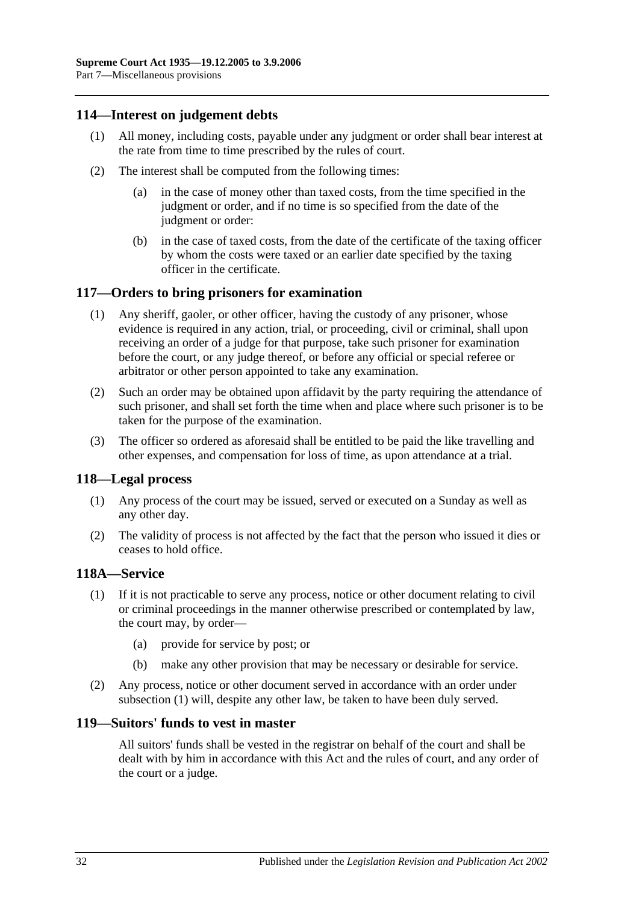### <span id="page-31-0"></span>**114—Interest on judgement debts**

- (1) All money, including costs, payable under any judgment or order shall bear interest at the rate from time to time prescribed by the rules of court.
- (2) The interest shall be computed from the following times:
	- (a) in the case of money other than taxed costs, from the time specified in the judgment or order, and if no time is so specified from the date of the judgment or order:
	- (b) in the case of taxed costs, from the date of the certificate of the taxing officer by whom the costs were taxed or an earlier date specified by the taxing officer in the certificate.

### <span id="page-31-1"></span>**117—Orders to bring prisoners for examination**

- (1) Any sheriff, gaoler, or other officer, having the custody of any prisoner, whose evidence is required in any action, trial, or proceeding, civil or criminal, shall upon receiving an order of a judge for that purpose, take such prisoner for examination before the court, or any judge thereof, or before any official or special referee or arbitrator or other person appointed to take any examination.
- (2) Such an order may be obtained upon affidavit by the party requiring the attendance of such prisoner, and shall set forth the time when and place where such prisoner is to be taken for the purpose of the examination.
- (3) The officer so ordered as aforesaid shall be entitled to be paid the like travelling and other expenses, and compensation for loss of time, as upon attendance at a trial.

#### <span id="page-31-2"></span>**118—Legal process**

- (1) Any process of the court may be issued, served or executed on a Sunday as well as any other day.
- (2) The validity of process is not affected by the fact that the person who issued it dies or ceases to hold office.

#### <span id="page-31-5"></span><span id="page-31-3"></span>**118A—Service**

- (1) If it is not practicable to serve any process, notice or other document relating to civil or criminal proceedings in the manner otherwise prescribed or contemplated by law, the court may, by order—
	- (a) provide for service by post; or
	- (b) make any other provision that may be necessary or desirable for service.
- (2) Any process, notice or other document served in accordance with an order under [subsection](#page-31-5) (1) will, despite any other law, be taken to have been duly served.

#### <span id="page-31-4"></span>**119—Suitors' funds to vest in master**

All suitors' funds shall be vested in the registrar on behalf of the court and shall be dealt with by him in accordance with this Act and the rules of court, and any order of the court or a judge.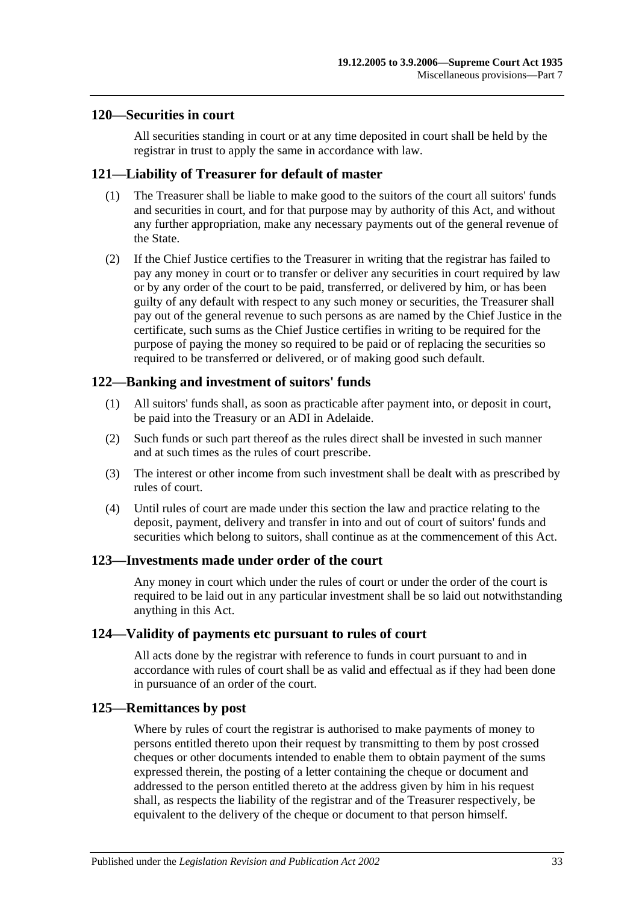#### <span id="page-32-0"></span>**120—Securities in court**

All securities standing in court or at any time deposited in court shall be held by the registrar in trust to apply the same in accordance with law.

### <span id="page-32-1"></span>**121—Liability of Treasurer for default of master**

- (1) The Treasurer shall be liable to make good to the suitors of the court all suitors' funds and securities in court, and for that purpose may by authority of this Act, and without any further appropriation, make any necessary payments out of the general revenue of the State.
- (2) If the Chief Justice certifies to the Treasurer in writing that the registrar has failed to pay any money in court or to transfer or deliver any securities in court required by law or by any order of the court to be paid, transferred, or delivered by him, or has been guilty of any default with respect to any such money or securities, the Treasurer shall pay out of the general revenue to such persons as are named by the Chief Justice in the certificate, such sums as the Chief Justice certifies in writing to be required for the purpose of paying the money so required to be paid or of replacing the securities so required to be transferred or delivered, or of making good such default.

## <span id="page-32-2"></span>**122—Banking and investment of suitors' funds**

- (1) All suitors' funds shall, as soon as practicable after payment into, or deposit in court, be paid into the Treasury or an ADI in Adelaide.
- (2) Such funds or such part thereof as the rules direct shall be invested in such manner and at such times as the rules of court prescribe.
- (3) The interest or other income from such investment shall be dealt with as prescribed by rules of court.
- (4) Until rules of court are made under this section the law and practice relating to the deposit, payment, delivery and transfer in into and out of court of suitors' funds and securities which belong to suitors, shall continue as at the commencement of this Act.

#### <span id="page-32-3"></span>**123—Investments made under order of the court**

Any money in court which under the rules of court or under the order of the court is required to be laid out in any particular investment shall be so laid out notwithstanding anything in this Act.

#### <span id="page-32-4"></span>**124—Validity of payments etc pursuant to rules of court**

All acts done by the registrar with reference to funds in court pursuant to and in accordance with rules of court shall be as valid and effectual as if they had been done in pursuance of an order of the court.

#### <span id="page-32-5"></span>**125—Remittances by post**

Where by rules of court the registrar is authorised to make payments of money to persons entitled thereto upon their request by transmitting to them by post crossed cheques or other documents intended to enable them to obtain payment of the sums expressed therein, the posting of a letter containing the cheque or document and addressed to the person entitled thereto at the address given by him in his request shall, as respects the liability of the registrar and of the Treasurer respectively, be equivalent to the delivery of the cheque or document to that person himself.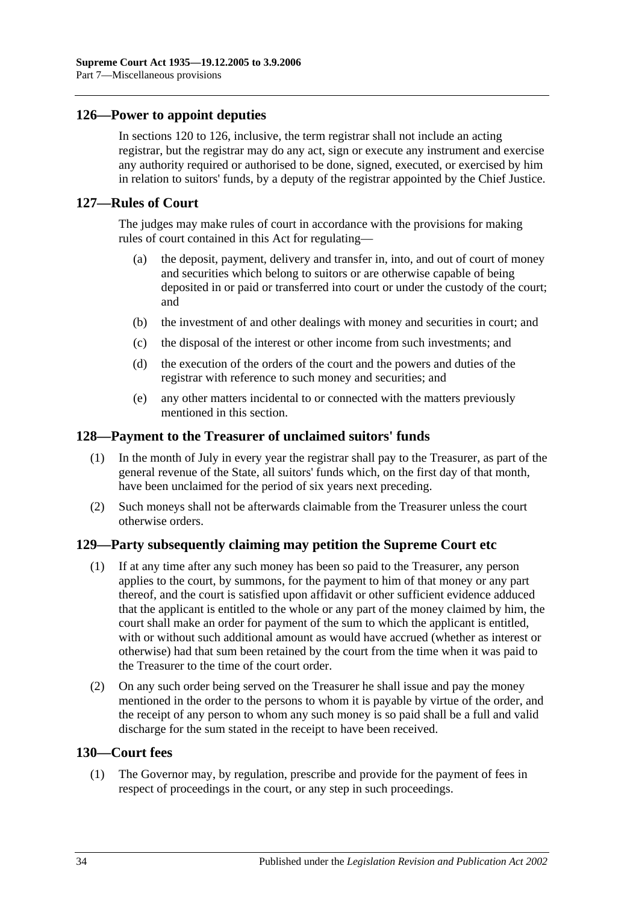### <span id="page-33-0"></span>**126—Power to appoint deputies**

In [sections](#page-32-0) 120 to 126, inclusive, the term registrar shall not include an acting registrar, but the registrar may do any act, sign or execute any instrument and exercise any authority required or authorised to be done, signed, executed, or exercised by him in relation to suitors' funds, by a deputy of the registrar appointed by the Chief Justice.

#### <span id="page-33-1"></span>**127—Rules of Court**

The judges may make rules of court in accordance with the provisions for making rules of court contained in this Act for regulating—

- (a) the deposit, payment, delivery and transfer in, into, and out of court of money and securities which belong to suitors or are otherwise capable of being deposited in or paid or transferred into court or under the custody of the court; and
- (b) the investment of and other dealings with money and securities in court; and
- (c) the disposal of the interest or other income from such investments; and
- (d) the execution of the orders of the court and the powers and duties of the registrar with reference to such money and securities; and
- (e) any other matters incidental to or connected with the matters previously mentioned in this section.

#### <span id="page-33-2"></span>**128—Payment to the Treasurer of unclaimed suitors' funds**

- (1) In the month of July in every year the registrar shall pay to the Treasurer, as part of the general revenue of the State, all suitors' funds which, on the first day of that month, have been unclaimed for the period of six years next preceding.
- (2) Such moneys shall not be afterwards claimable from the Treasurer unless the court otherwise orders.

#### <span id="page-33-3"></span>**129—Party subsequently claiming may petition the Supreme Court etc**

- (1) If at any time after any such money has been so paid to the Treasurer, any person applies to the court, by summons, for the payment to him of that money or any part thereof, and the court is satisfied upon affidavit or other sufficient evidence adduced that the applicant is entitled to the whole or any part of the money claimed by him, the court shall make an order for payment of the sum to which the applicant is entitled, with or without such additional amount as would have accrued (whether as interest or otherwise) had that sum been retained by the court from the time when it was paid to the Treasurer to the time of the court order.
- (2) On any such order being served on the Treasurer he shall issue and pay the money mentioned in the order to the persons to whom it is payable by virtue of the order, and the receipt of any person to whom any such money is so paid shall be a full and valid discharge for the sum stated in the receipt to have been received.

### <span id="page-33-4"></span>**130—Court fees**

(1) The Governor may, by regulation, prescribe and provide for the payment of fees in respect of proceedings in the court, or any step in such proceedings.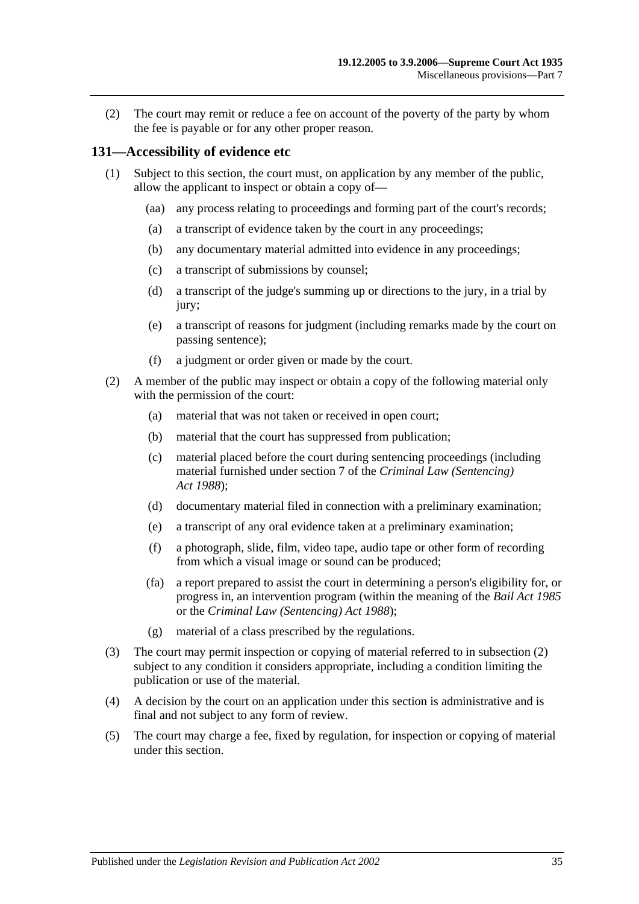(2) The court may remit or reduce a fee on account of the poverty of the party by whom the fee is payable or for any other proper reason.

### <span id="page-34-0"></span>**131—Accessibility of evidence etc**

- (1) Subject to this section, the court must, on application by any member of the public, allow the applicant to inspect or obtain a copy of—
	- (aa) any process relating to proceedings and forming part of the court's records;
	- (a) a transcript of evidence taken by the court in any proceedings;
	- (b) any documentary material admitted into evidence in any proceedings;
	- (c) a transcript of submissions by counsel;
	- (d) a transcript of the judge's summing up or directions to the jury, in a trial by jury;
	- (e) a transcript of reasons for judgment (including remarks made by the court on passing sentence);
	- (f) a judgment or order given or made by the court.
- <span id="page-34-1"></span>(2) A member of the public may inspect or obtain a copy of the following material only with the permission of the court:
	- (a) material that was not taken or received in open court;
	- (b) material that the court has suppressed from publication;
	- (c) material placed before the court during sentencing proceedings (including material furnished under section 7 of the *[Criminal Law \(Sentencing\)](http://www.legislation.sa.gov.au/index.aspx?action=legref&type=act&legtitle=Criminal%20Law%20(Sentencing)%20Act%201988)  Act [1988](http://www.legislation.sa.gov.au/index.aspx?action=legref&type=act&legtitle=Criminal%20Law%20(Sentencing)%20Act%201988)*);
	- (d) documentary material filed in connection with a preliminary examination;
	- (e) a transcript of any oral evidence taken at a preliminary examination;
	- (f) a photograph, slide, film, video tape, audio tape or other form of recording from which a visual image or sound can be produced;
	- (fa) a report prepared to assist the court in determining a person's eligibility for, or progress in, an intervention program (within the meaning of the *[Bail Act](http://www.legislation.sa.gov.au/index.aspx?action=legref&type=act&legtitle=Bail%20Act%201985) 1985* or the *[Criminal Law \(Sentencing\) Act](http://www.legislation.sa.gov.au/index.aspx?action=legref&type=act&legtitle=Criminal%20Law%20(Sentencing)%20Act%201988) 1988*);
	- (g) material of a class prescribed by the regulations.
- (3) The court may permit inspection or copying of material referred to in [subsection](#page-34-1) (2) subject to any condition it considers appropriate, including a condition limiting the publication or use of the material.
- (4) A decision by the court on an application under this section is administrative and is final and not subject to any form of review.
- (5) The court may charge a fee, fixed by regulation, for inspection or copying of material under this section.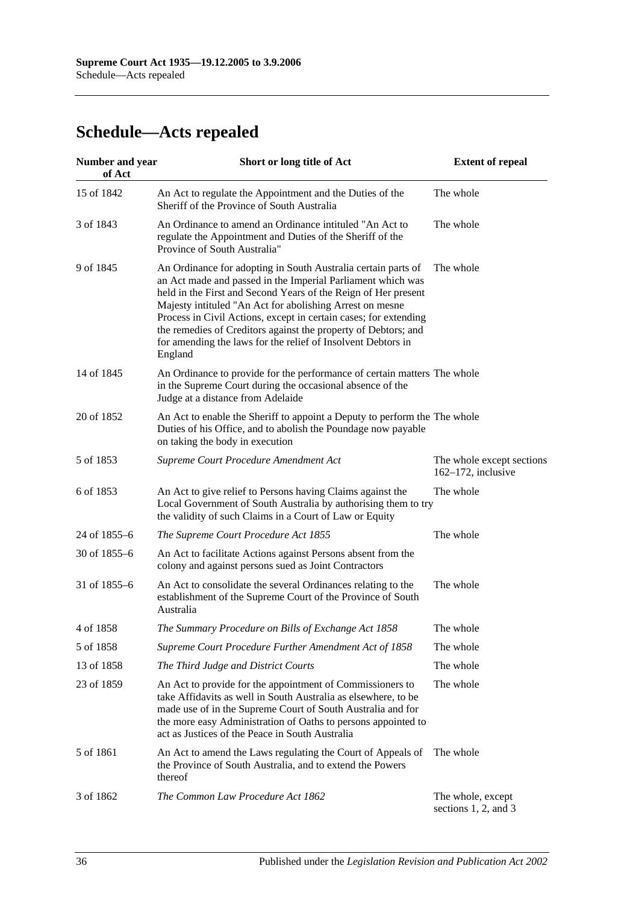# <span id="page-35-0"></span>**Schedule—Acts repealed**

| <b>Number and year</b><br>of Act | Short or long title of Act                                                                                                                                                                                                                                                                                                                                                                                                                                                  | <b>Extent of repeal</b>                            |
|----------------------------------|-----------------------------------------------------------------------------------------------------------------------------------------------------------------------------------------------------------------------------------------------------------------------------------------------------------------------------------------------------------------------------------------------------------------------------------------------------------------------------|----------------------------------------------------|
| 15 of 1842                       | An Act to regulate the Appointment and the Duties of the<br>Sheriff of the Province of South Australia                                                                                                                                                                                                                                                                                                                                                                      | The whole                                          |
| 3 of 1843                        | An Ordinance to amend an Ordinance intituled "An Act to<br>regulate the Appointment and Duties of the Sheriff of the<br>Province of South Australia"                                                                                                                                                                                                                                                                                                                        | The whole                                          |
| 9 of 1845                        | An Ordinance for adopting in South Australia certain parts of<br>an Act made and passed in the Imperial Parliament which was<br>held in the First and Second Years of the Reign of Her present<br>Majesty intituled "An Act for abolishing Arrest on mesne<br>Process in Civil Actions, except in certain cases; for extending<br>the remedies of Creditors against the property of Debtors; and<br>for amending the laws for the relief of Insolvent Debtors in<br>England | The whole                                          |
| 14 of 1845                       | An Ordinance to provide for the performance of certain matters The whole<br>in the Supreme Court during the occasional absence of the<br>Judge at a distance from Adelaide                                                                                                                                                                                                                                                                                                  |                                                    |
| 20 of 1852                       | An Act to enable the Sheriff to appoint a Deputy to perform the The whole<br>Duties of his Office, and to abolish the Poundage now payable<br>on taking the body in execution                                                                                                                                                                                                                                                                                               |                                                    |
| 5 of 1853                        | Supreme Court Procedure Amendment Act                                                                                                                                                                                                                                                                                                                                                                                                                                       | The whole except sections<br>$162-172$ , inclusive |
| 6 of 1853                        | An Act to give relief to Persons having Claims against the<br>Local Government of South Australia by authorising them to try<br>the validity of such Claims in a Court of Law or Equity                                                                                                                                                                                                                                                                                     | The whole                                          |
| 24 of 1855-6                     | The Supreme Court Procedure Act 1855                                                                                                                                                                                                                                                                                                                                                                                                                                        | The whole                                          |
| 30 of 1855-6                     | An Act to facilitate Actions against Persons absent from the<br>colony and against persons sued as Joint Contractors                                                                                                                                                                                                                                                                                                                                                        |                                                    |
| 31 of 1855–6                     | An Act to consolidate the several Ordinances relating to the<br>establishment of the Supreme Court of the Province of South<br>Australia                                                                                                                                                                                                                                                                                                                                    | The whole                                          |
| 4 of 1858                        | The Summary Procedure on Bills of Exchange Act 1858                                                                                                                                                                                                                                                                                                                                                                                                                         | The whole                                          |
| 5 of 1858                        | Supreme Court Procedure Further Amendment Act of 1858                                                                                                                                                                                                                                                                                                                                                                                                                       | The whole                                          |
| 13 of 1858                       | The Third Judge and District Courts                                                                                                                                                                                                                                                                                                                                                                                                                                         | The whole                                          |
| 23 of 1859                       | An Act to provide for the appointment of Commissioners to<br>take Affidavits as well in South Australia as elsewhere, to be<br>made use of in the Supreme Court of South Australia and for<br>the more easy Administration of Oaths to persons appointed to<br>act as Justices of the Peace in South Australia                                                                                                                                                              | The whole                                          |
| 5 of 1861                        | An Act to amend the Laws regulating the Court of Appeals of<br>the Province of South Australia, and to extend the Powers<br>thereof                                                                                                                                                                                                                                                                                                                                         | The whole                                          |
| 3 of 1862                        | The Common Law Procedure Act 1862                                                                                                                                                                                                                                                                                                                                                                                                                                           | The whole, except<br>sections 1, 2, and 3          |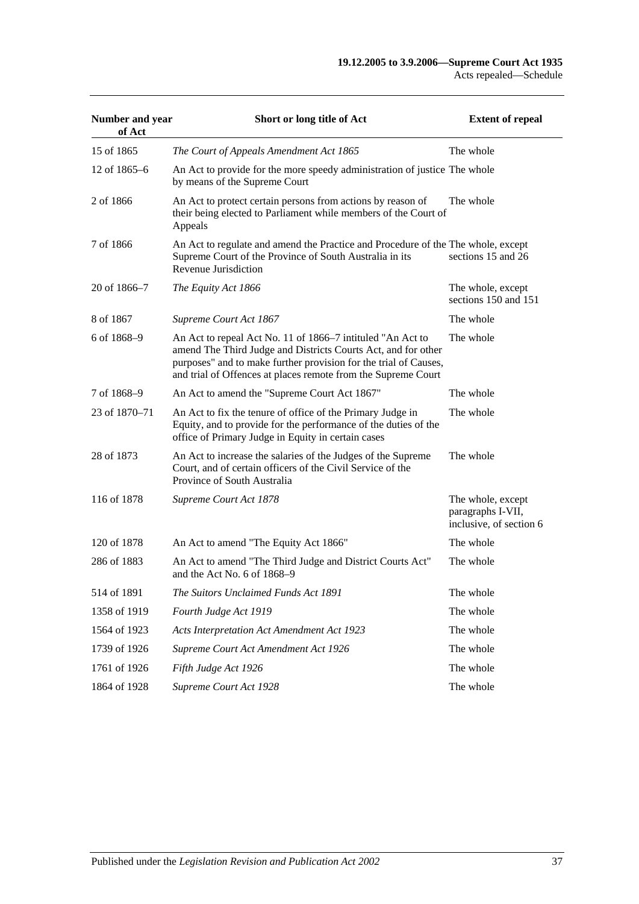| Number and year<br>of Act | Short or long title of Act                                                                                                                                                                                                                                       | <b>Extent of repeal</b>                                           |
|---------------------------|------------------------------------------------------------------------------------------------------------------------------------------------------------------------------------------------------------------------------------------------------------------|-------------------------------------------------------------------|
| 15 of 1865                | The Court of Appeals Amendment Act 1865                                                                                                                                                                                                                          | The whole                                                         |
| 12 of 1865–6              | An Act to provide for the more speedy administration of justice The whole<br>by means of the Supreme Court                                                                                                                                                       |                                                                   |
| 2 of 1866                 | An Act to protect certain persons from actions by reason of<br>their being elected to Parliament while members of the Court of<br>Appeals                                                                                                                        | The whole                                                         |
| 7 of 1866                 | An Act to regulate and amend the Practice and Procedure of the The whole, except<br>Supreme Court of the Province of South Australia in its<br>Revenue Jurisdiction                                                                                              | sections 15 and 26                                                |
| 20 of 1866-7              | The Equity Act 1866                                                                                                                                                                                                                                              | The whole, except<br>sections 150 and 151                         |
| 8 of 1867                 | Supreme Court Act 1867                                                                                                                                                                                                                                           | The whole                                                         |
| 6 of 1868-9               | An Act to repeal Act No. 11 of 1866–7 intituled "An Act to<br>amend The Third Judge and Districts Courts Act, and for other<br>purposes" and to make further provision for the trial of Causes,<br>and trial of Offences at places remote from the Supreme Court | The whole                                                         |
| 7 of 1868-9               | An Act to amend the "Supreme Court Act 1867"                                                                                                                                                                                                                     | The whole                                                         |
| 23 of 1870–71             | An Act to fix the tenure of office of the Primary Judge in<br>Equity, and to provide for the performance of the duties of the<br>office of Primary Judge in Equity in certain cases                                                                              | The whole                                                         |
| 28 of 1873                | An Act to increase the salaries of the Judges of the Supreme<br>Court, and of certain officers of the Civil Service of the<br>Province of South Australia                                                                                                        | The whole                                                         |
| 116 of 1878               | Supreme Court Act 1878                                                                                                                                                                                                                                           | The whole, except<br>paragraphs I-VII,<br>inclusive, of section 6 |
| 120 of 1878               | An Act to amend "The Equity Act 1866"                                                                                                                                                                                                                            | The whole                                                         |
| 286 of 1883               | An Act to amend "The Third Judge and District Courts Act"<br>and the Act No. 6 of 1868–9                                                                                                                                                                         | The whole                                                         |
| 514 of 1891               | The Suitors Unclaimed Funds Act 1891                                                                                                                                                                                                                             | The whole                                                         |
| 1358 of 1919              | Fourth Judge Act 1919                                                                                                                                                                                                                                            | The whole                                                         |
| 1564 of 1923              | Acts Interpretation Act Amendment Act 1923                                                                                                                                                                                                                       | The whole                                                         |
| 1739 of 1926              | Supreme Court Act Amendment Act 1926                                                                                                                                                                                                                             | The whole                                                         |
| 1761 of 1926              | Fifth Judge Act 1926                                                                                                                                                                                                                                             | The whole                                                         |
| 1864 of 1928              | Supreme Court Act 1928                                                                                                                                                                                                                                           | The whole                                                         |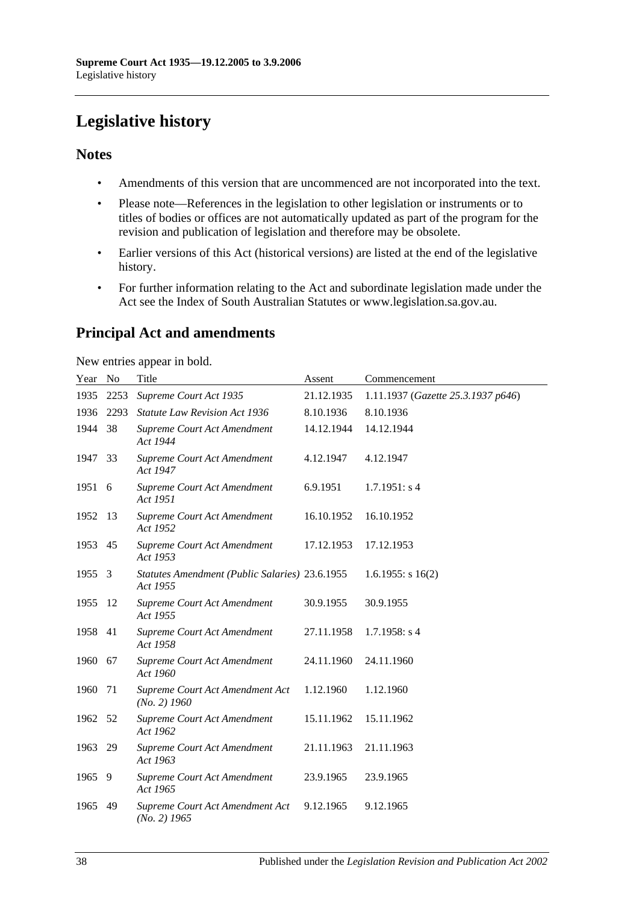# <span id="page-37-0"></span>**Legislative history**

## **Notes**

- Amendments of this version that are uncommenced are not incorporated into the text.
- Please note—References in the legislation to other legislation or instruments or to titles of bodies or offices are not automatically updated as part of the program for the revision and publication of legislation and therefore may be obsolete.
- Earlier versions of this Act (historical versions) are listed at the end of the legislative history.
- For further information relating to the Act and subordinate legislation made under the Act see the Index of South Australian Statutes or www.legislation.sa.gov.au.

# **Principal Act and amendments**

New entries appear in bold.

| Year No |      | Title                                                      | Assent     | Commencement                       |
|---------|------|------------------------------------------------------------|------------|------------------------------------|
| 1935    | 2253 | Supreme Court Act 1935                                     | 21.12.1935 | 1.11.1937 (Gazette 25.3.1937 p646) |
| 1936    | 2293 | <b>Statute Law Revision Act 1936</b>                       | 8.10.1936  | 8.10.1936                          |
| 1944    | 38   | Supreme Court Act Amendment<br>Act 1944                    | 14.12.1944 | 14.12.1944                         |
| 1947    | 33   | Supreme Court Act Amendment<br>Act 1947                    | 4.12.1947  | 4.12.1947                          |
| 1951    | 6    | Supreme Court Act Amendment<br>Act 1951                    | 6.9.1951   | 1.7.1951: s4                       |
| 1952    | 13   | Supreme Court Act Amendment<br>Act 1952                    | 16.10.1952 | 16.10.1952                         |
| 1953    | 45   | <b>Supreme Court Act Amendment</b><br>Act 1953             | 17.12.1953 | 17.12.1953                         |
| 1955    | 3    | Statutes Amendment (Public Salaries) 23.6.1955<br>Act 1955 |            | $1.6.1955$ : s $16(2)$             |
| 1955    | 12   | Supreme Court Act Amendment<br>Act 1955                    | 30.9.1955  | 30.9.1955                          |
| 1958    | 41   | Supreme Court Act Amendment<br>Act 1958                    | 27.11.1958 | $1.7.1958$ : s 4                   |
| 1960    | 67   | Supreme Court Act Amendment<br>Act 1960                    | 24.11.1960 | 24.11.1960                         |
| 1960    | 71   | Supreme Court Act Amendment Act<br>$(No. 2)$ 1960          | 1.12.1960  | 1.12.1960                          |
| 1962    | 52   | Supreme Court Act Amendment<br>Act 1962                    | 15.11.1962 | 15.11.1962                         |
| 1963    | 29   | Supreme Court Act Amendment<br>Act 1963                    | 21.11.1963 | 21.11.1963                         |
| 1965    | 9    | Supreme Court Act Amendment<br>Act 1965                    | 23.9.1965  | 23.9.1965                          |
| 1965    | 49   | Supreme Court Act Amendment Act<br>$(No. 2)$ 1965          | 9.12.1965  | 9.12.1965                          |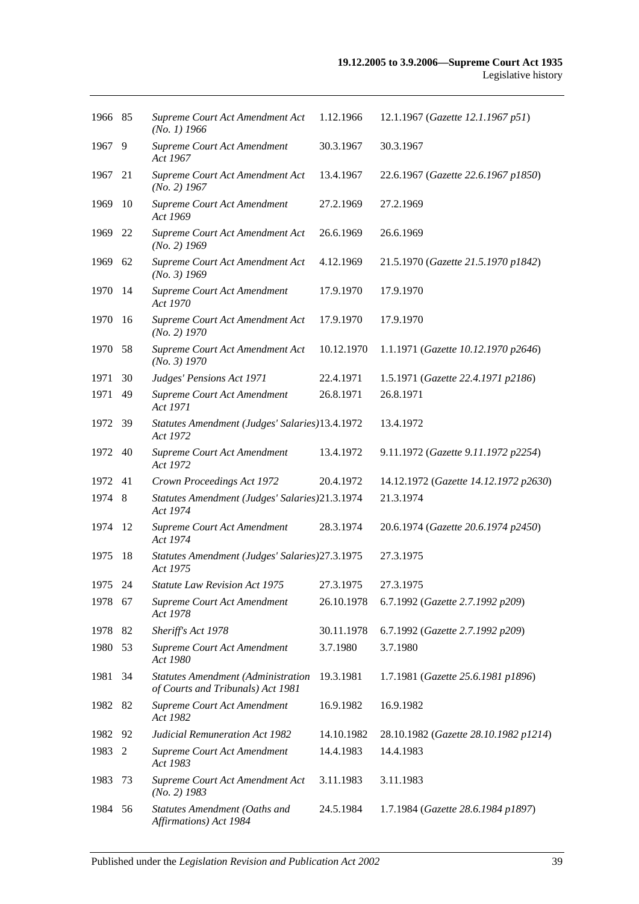| 1966 85 |     | Supreme Court Act Amendment Act<br>$(No. 1)$ 1966                              | 1.12.1966  | 12.1.1967 (Gazette 12.1.1967 p51)     |
|---------|-----|--------------------------------------------------------------------------------|------------|---------------------------------------|
| 1967    | 9   | Supreme Court Act Amendment<br>Act 1967                                        | 30.3.1967  | 30.3.1967                             |
| 1967    | 21  | Supreme Court Act Amendment Act<br>$(No. 2)$ 1967                              | 13.4.1967  | 22.6.1967 (Gazette 22.6.1967 p1850)   |
| 1969    | 10  | Supreme Court Act Amendment<br>Act 1969                                        | 27.2.1969  | 27.2.1969                             |
| 1969    | 22  | Supreme Court Act Amendment Act<br>$(No. 2)$ 1969                              | 26.6.1969  | 26.6.1969                             |
| 1969    | 62  | Supreme Court Act Amendment Act<br>$(No. 3)$ 1969                              | 4.12.1969  | 21.5.1970 (Gazette 21.5.1970 p1842)   |
| 1970    | -14 | Supreme Court Act Amendment<br>Act 1970                                        | 17.9.1970  | 17.9.1970                             |
| 1970    | -16 | Supreme Court Act Amendment Act<br>$(No. 2)$ 1970                              | 17.9.1970  | 17.9.1970                             |
| 1970    | 58  | Supreme Court Act Amendment Act<br>(No. 3) 1970                                | 10.12.1970 | 1.1.1971 (Gazette 10.12.1970 p2646)   |
| 1971    | 30  | Judges' Pensions Act 1971                                                      | 22.4.1971  | 1.5.1971 (Gazette 22.4.1971 p2186)    |
| 1971    | 49  | Supreme Court Act Amendment<br>Act 1971                                        | 26.8.1971  | 26.8.1971                             |
| 1972 39 |     | Statutes Amendment (Judges' Salaries)13.4.1972<br>Act 1972                     |            | 13.4.1972                             |
| 1972    | 40  | Supreme Court Act Amendment<br>Act 1972                                        | 13.4.1972  | 9.11.1972 (Gazette 9.11.1972 p2254)   |
| 1972    | 41  | Crown Proceedings Act 1972                                                     | 20.4.1972  | 14.12.1972 (Gazette 14.12.1972 p2630) |
| 1974    | 8   | Statutes Amendment (Judges' Salaries)21.3.1974<br>Act 1974                     |            | 21.3.1974                             |
| 1974    | 12  | Supreme Court Act Amendment<br>Act 1974                                        | 28.3.1974  | 20.6.1974 (Gazette 20.6.1974 p2450)   |
| 1975    | 18  | Statutes Amendment (Judges' Salaries) 27.3.1975<br>Act 1975                    |            | 27.3.1975                             |
| 1975 24 |     | <b>Statute Law Revision Act 1975</b>                                           | 27.3.1975  | 27.3.1975                             |
| 1978 67 |     | Supreme Court Act Amendment<br>Act 1978                                        | 26.10.1978 | 6.7.1992 (Gazette 2.7.1992 p209)      |
| 1978    | 82  | Sheriff's Act 1978                                                             | 30.11.1978 | 6.7.1992 (Gazette 2.7.1992 p209)      |
| 1980    | 53  | Supreme Court Act Amendment<br>Act 1980                                        | 3.7.1980   | 3.7.1980                              |
| 1981    | 34  | <b>Statutes Amendment (Administration</b><br>of Courts and Tribunals) Act 1981 | 19.3.1981  | 1.7.1981 (Gazette 25.6.1981 p1896)    |
| 1982    | 82  | Supreme Court Act Amendment<br>Act 1982                                        | 16.9.1982  | 16.9.1982                             |
| 1982    | 92  | <b>Judicial Remuneration Act 1982</b>                                          | 14.10.1982 | 28.10.1982 (Gazette 28.10.1982 p1214) |
| 1983    | 2   | Supreme Court Act Amendment<br>Act 1983                                        | 14.4.1983  | 14.4.1983                             |
| 1983    | 73  | Supreme Court Act Amendment Act<br>$(No. 2)$ 1983                              | 3.11.1983  | 3.11.1983                             |
| 1984    | 56  | Statutes Amendment (Oaths and<br>Affirmations) Act 1984                        | 24.5.1984  | 1.7.1984 (Gazette 28.6.1984 p1897)    |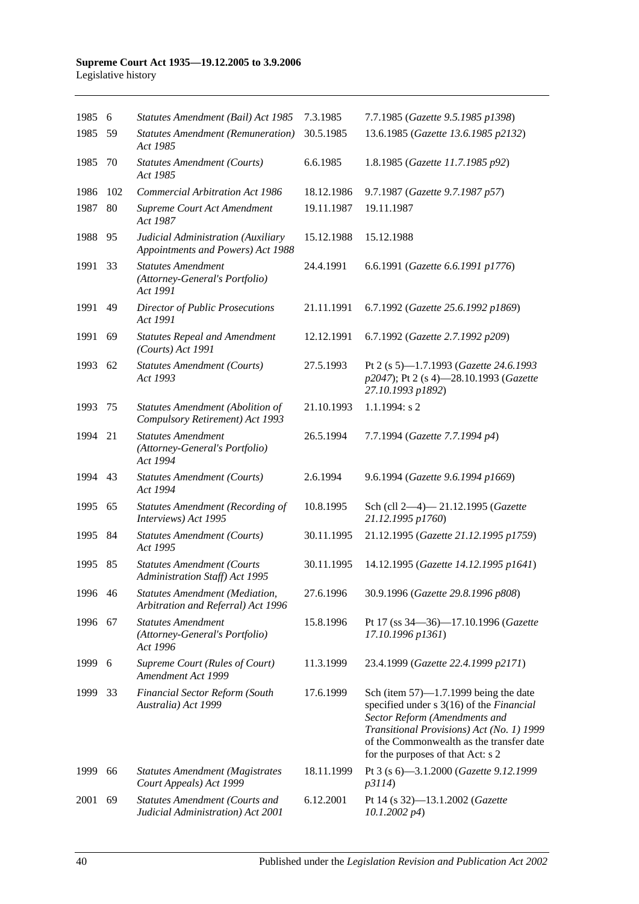#### **Supreme Court Act 1935—19.12.2005 to 3.9.2006** Legislative history

| 1985 6  |     | Statutes Amendment (Bail) Act 1985                                         | 7.3.1985   | 7.7.1985 (Gazette 9.5.1985 p1398)                                                                                                                                                                                                                   |
|---------|-----|----------------------------------------------------------------------------|------------|-----------------------------------------------------------------------------------------------------------------------------------------------------------------------------------------------------------------------------------------------------|
| 1985    | 59  | <b>Statutes Amendment (Remuneration)</b><br>Act 1985                       | 30.5.1985  | 13.6.1985 (Gazette 13.6.1985 p2132)                                                                                                                                                                                                                 |
| 1985    | 70  | <b>Statutes Amendment (Courts)</b><br>Act 1985                             | 6.6.1985   | 1.8.1985 (Gazette 11.7.1985 p92)                                                                                                                                                                                                                    |
| 1986    | 102 | <b>Commercial Arbitration Act 1986</b>                                     | 18.12.1986 | 9.7.1987 (Gazette 9.7.1987 p57)                                                                                                                                                                                                                     |
| 1987    | 80  | Supreme Court Act Amendment<br>Act 1987                                    | 19.11.1987 | 19.11.1987                                                                                                                                                                                                                                          |
| 1988    | 95  | Judicial Administration (Auxiliary<br>Appointments and Powers) Act 1988    | 15.12.1988 | 15.12.1988                                                                                                                                                                                                                                          |
| 1991    | 33  | <b>Statutes Amendment</b><br>(Attorney-General's Portfolio)<br>Act 1991    | 24.4.1991  | 6.6.1991 (Gazette 6.6.1991 p1776)                                                                                                                                                                                                                   |
| 1991    | 49  | <b>Director of Public Prosecutions</b><br>Act 1991                         | 21.11.1991 | 6.7.1992 (Gazette 25.6.1992 p1869)                                                                                                                                                                                                                  |
| 1991    | 69  | <b>Statutes Repeal and Amendment</b><br>(Courts) Act 1991                  | 12.12.1991 | 6.7.1992 (Gazette 2.7.1992 p209)                                                                                                                                                                                                                    |
| 1993    | 62  | <b>Statutes Amendment (Courts)</b><br>Act 1993                             | 27.5.1993  | Pt 2 (s 5)-1.7.1993 (Gazette 24.6.1993<br>p2047); Pt 2 (s 4)-28.10.1993 (Gazette<br>27.10.1993 p1892)                                                                                                                                               |
| 1993    | 75  | Statutes Amendment (Abolition of<br>Compulsory Retirement) Act 1993        | 21.10.1993 | $1.1.1994$ : s 2                                                                                                                                                                                                                                    |
| 1994    | 21  | <b>Statutes Amendment</b><br>(Attorney-General's Portfolio)<br>Act 1994    | 26.5.1994  | 7.7.1994 (Gazette 7.7.1994 p4)                                                                                                                                                                                                                      |
| 1994    | 43  | <b>Statutes Amendment (Courts)</b><br>Act 1994                             | 2.6.1994   | 9.6.1994 (Gazette 9.6.1994 p1669)                                                                                                                                                                                                                   |
| 1995    | 65  | <b>Statutes Amendment (Recording of</b><br>Interviews) Act 1995            | 10.8.1995  | Sch (cll 2-4)-21.12.1995 (Gazette<br>21.12.1995 p1760)                                                                                                                                                                                              |
| 1995    | 84  | <b>Statutes Amendment (Courts)</b><br>Act 1995                             | 30.11.1995 | 21.12.1995 (Gazette 21.12.1995 p1759)                                                                                                                                                                                                               |
| 1995    | 85  | <b>Statutes Amendment (Courts</b><br>Administration Staff) Act 1995        | 30.11.1995 | 14.12.1995 (Gazette 14.12.1995 p1641)                                                                                                                                                                                                               |
| 1996 46 |     | Statutes Amendment (Mediation,<br>Arbitration and Referral) Act 1996       | 27.6.1996  | 30.9.1996 (Gazette 29.8.1996 p808)                                                                                                                                                                                                                  |
| 1996    | 67  | <b>Statutes Amendment</b><br>(Attorney-General's Portfolio)<br>Act 1996    | 15.8.1996  | Pt 17 (ss 34-36)-17.10.1996 (Gazette<br>17.10.1996 p1361)                                                                                                                                                                                           |
| 1999 6  |     | Supreme Court (Rules of Court)<br>Amendment Act 1999                       | 11.3.1999  | 23.4.1999 (Gazette 22.4.1999 p2171)                                                                                                                                                                                                                 |
| 1999    | 33  | <b>Financial Sector Reform (South</b><br>Australia) Act 1999               | 17.6.1999  | Sch (item $57$ )—1.7.1999 being the date<br>specified under s 3(16) of the Financial<br>Sector Reform (Amendments and<br>Transitional Provisions) Act (No. 1) 1999<br>of the Commonwealth as the transfer date<br>for the purposes of that Act: s 2 |
| 1999    | 66  | <b>Statutes Amendment (Magistrates</b><br>Court Appeals) Act 1999          | 18.11.1999 | Pt 3 (s 6)-3.1.2000 (Gazette 9.12.1999<br>p3114)                                                                                                                                                                                                    |
| 2001    | 69  | <b>Statutes Amendment (Courts and</b><br>Judicial Administration) Act 2001 | 6.12.2001  | Pt 14 (s 32)-13.1.2002 (Gazette<br>$10.1.2002\ p4)$                                                                                                                                                                                                 |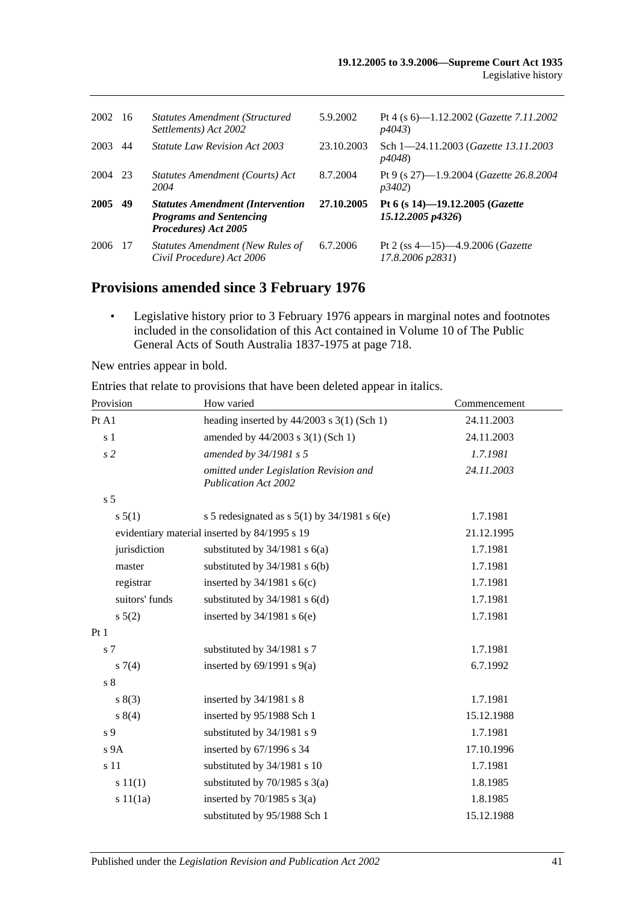| 2002 | - 16 | <b>Statutes Amendment (Structured</b><br>Settlements) Act 2002                                    | 5.9.2002   | Pt 4 (s $6$ ) -1.12.2002 ( <i>Gazette 7.11.2002</i><br>p4043            |
|------|------|---------------------------------------------------------------------------------------------------|------------|-------------------------------------------------------------------------|
| 2003 | 44   | <i>Statute Law Revision Act 2003</i>                                                              | 23.10.2003 | Sch 1-24.11.2003 (Gazette 13.11.2003<br><i>p4048</i> )                  |
| 2004 | 23   | Statutes Amendment (Courts) Act<br>2004                                                           | 8.7.2004   | Pt 9 (s 27)-1.9.2004 (Gazette 26.8.2004<br><i>p</i> 3402)               |
| 2005 | 49   | <b>Statutes Amendment (Intervention</b><br><b>Programs and Sentencing</b><br>Procedures) Act 2005 | 27.10.2005 | Pt 6 (s 14)-19.12.2005 (Gazette<br>15.12.2005 p4326)                    |
| 2006 | 17   | <b>Statutes Amendment (New Rules of</b><br>Civil Procedure) Act 2006                              | 6.7.2006   | Pt 2 (ss $4-15$ ) $-4.9.2006$ ( <i>Gazette</i><br>$17.8.2006$ $p2831$ ) |

# **Provisions amended since 3 February 1976**

• Legislative history prior to 3 February 1976 appears in marginal notes and footnotes included in the consolidation of this Act contained in Volume 10 of The Public General Acts of South Australia 1837-1975 at page 718.

New entries appear in bold.

Entries that relate to provisions that have been deleted appear in italics.

| Provision       | How varied                                                            | Commencement |
|-----------------|-----------------------------------------------------------------------|--------------|
| Pt A1           | heading inserted by $44/2003$ s 3(1) (Sch 1)                          | 24.11.2003   |
| s <sub>1</sub>  | amended by 44/2003 s 3(1) (Sch 1)                                     | 24.11.2003   |
| s <sub>2</sub>  | amended by 34/1981 s 5                                                | 1.7.1981     |
|                 | omitted under Legislation Revision and<br><b>Publication Act 2002</b> | 24.11.2003   |
| s <sub>5</sub>  |                                                                       |              |
| s 5(1)          | s 5 redesignated as s $5(1)$ by $34/1981$ s $6(e)$                    | 1.7.1981     |
|                 | evidentiary material inserted by 84/1995 s 19                         | 21.12.1995   |
| jurisdiction    | substituted by $34/1981$ s $6(a)$                                     | 1.7.1981     |
| master          | substituted by $34/1981$ s $6(b)$                                     | 1.7.1981     |
| registrar       | inserted by $34/1981$ s $6(c)$                                        | 1.7.1981     |
| suitors' funds  | substituted by $34/1981$ s $6(d)$                                     | 1.7.1981     |
| $s\ 5(2)$       | inserted by $34/1981$ s $6(e)$                                        | 1.7.1981     |
| Pt1             |                                                                       |              |
| s 7             | substituted by 34/1981 s 7                                            | 1.7.1981     |
| $s \, 7(4)$     | inserted by $69/1991$ s $9(a)$                                        | 6.7.1992     |
| s <sub>8</sub>  |                                                                       |              |
| s(3)            | inserted by $34/1981$ s 8                                             | 1.7.1981     |
| s 8(4)          | inserted by 95/1988 Sch 1                                             | 15.12.1988   |
| s 9             | substituted by 34/1981 s 9                                            | 1.7.1981     |
| s <sub>9A</sub> | inserted by 67/1996 s 34                                              | 17.10.1996   |
| s 11            | substituted by 34/1981 s 10                                           | 1.7.1981     |
| s 11(1)         | substituted by $70/1985$ s $3(a)$                                     | 1.8.1985     |
| s 11(1a)        | inserted by $70/1985$ s $3(a)$                                        | 1.8.1985     |
|                 | substituted by 95/1988 Sch 1                                          | 15.12.1988   |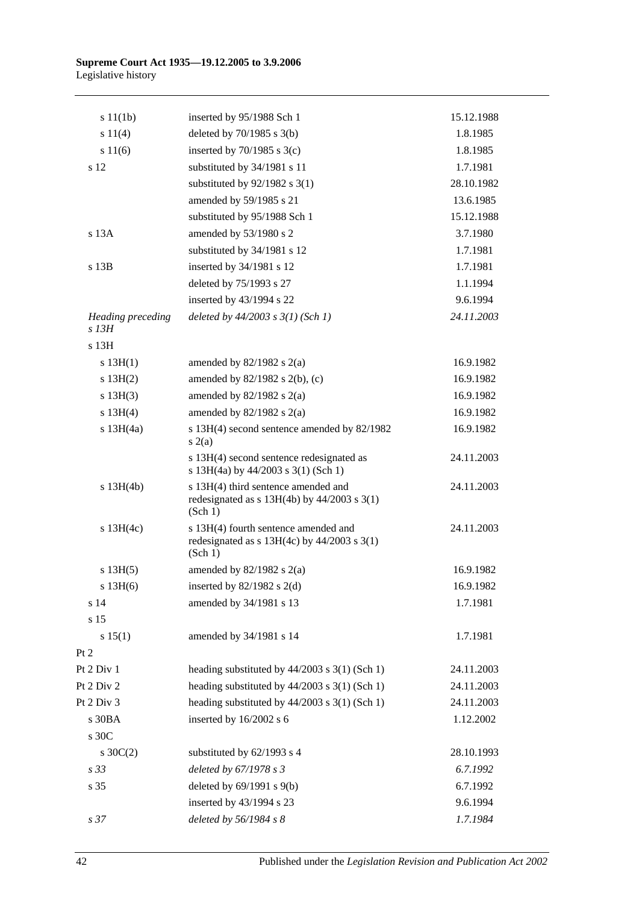#### **Supreme Court Act 1935—19.12.2005 to 3.9.2006** Legislative history

| s 11(1b)                            | inserted by 95/1988 Sch 1                                                                          | 15.12.1988 |
|-------------------------------------|----------------------------------------------------------------------------------------------------|------------|
| s 11(4)                             | deleted by $70/1985$ s $3(b)$                                                                      | 1.8.1985   |
| s 11(6)                             | inserted by $70/1985$ s $3(c)$                                                                     | 1.8.1985   |
| s 12                                | substituted by 34/1981 s 11                                                                        | 1.7.1981   |
|                                     | substituted by $92/1982$ s 3(1)                                                                    | 28.10.1982 |
|                                     | amended by 59/1985 s 21                                                                            | 13.6.1985  |
|                                     | substituted by 95/1988 Sch 1                                                                       | 15.12.1988 |
| s 13A                               | amended by 53/1980 s 2                                                                             | 3.7.1980   |
|                                     | substituted by 34/1981 s 12                                                                        | 1.7.1981   |
| s 13B                               | inserted by 34/1981 s 12                                                                           | 1.7.1981   |
|                                     | deleted by 75/1993 s 27                                                                            | 1.1.1994   |
|                                     | inserted by 43/1994 s 22                                                                           | 9.6.1994   |
| <b>Heading</b> preceding<br>$s$ 13H | deleted by $44/2003$ s $3(1)$ (Sch 1)                                                              | 24.11.2003 |
| s 13H                               |                                                                                                    |            |
| s 13H(1)                            | amended by $82/1982$ s $2(a)$                                                                      | 16.9.1982  |
| s 13H(2)                            | amended by $82/1982$ s $2(b)$ , (c)                                                                | 16.9.1982  |
| s 13H(3)                            | amended by $82/1982$ s $2(a)$                                                                      | 16.9.1982  |
| s 13H(4)                            | amended by $82/1982$ s $2(a)$                                                                      | 16.9.1982  |
| $s$ 13H(4a)                         | s 13H(4) second sentence amended by 82/1982<br>s(2(a)                                              | 16.9.1982  |
|                                     | s 13H(4) second sentence redesignated as<br>s 13H(4a) by 44/2003 s 3(1) (Sch 1)                    | 24.11.2003 |
| $s$ 13H(4b)                         | s 13H(4) third sentence amended and<br>redesignated as $s$ 13H(4b) by 44/2003 $s$ 3(1)<br>(Sch 1)  | 24.11.2003 |
| $s$ 13H(4c)                         | s 13H(4) fourth sentence amended and<br>redesignated as $s$ 13H(4c) by 44/2003 $s$ 3(1)<br>(Sch 1) | 24.11.2003 |
| $s$ 13H $(5)$                       | amended by $82/1982$ s $2(a)$                                                                      | 16.9.1982  |
| s 13H(6)                            | inserted by $82/1982$ s 2(d)                                                                       | 16.9.1982  |
| s 14                                | amended by 34/1981 s 13                                                                            | 1.7.1981   |
| s 15                                |                                                                                                    |            |
| s 15(1)                             | amended by 34/1981 s 14                                                                            | 1.7.1981   |
| Pt 2                                |                                                                                                    |            |
| Pt 2 Div 1                          | heading substituted by $44/2003$ s $3(1)$ (Sch 1)                                                  | 24.11.2003 |
| Pt 2 Div 2                          | heading substituted by $44/2003$ s $3(1)$ (Sch 1)                                                  | 24.11.2003 |
| Pt 2 Div 3                          | heading substituted by $44/2003$ s $3(1)$ (Sch 1)                                                  | 24.11.2003 |
| s 30BA                              | inserted by 16/2002 s 6                                                                            | 1.12.2002  |
| s 30C                               |                                                                                                    |            |
| s $30C(2)$                          | substituted by 62/1993 s 4                                                                         | 28.10.1993 |
| s <sub>33</sub>                     | deleted by 67/1978 s 3                                                                             | 6.7.1992   |
| s 35                                | deleted by $69/1991$ s $9(b)$                                                                      | 6.7.1992   |
|                                     | inserted by 43/1994 s 23                                                                           | 9.6.1994   |
| s 37                                | deleted by 56/1984 s 8                                                                             | 1.7.1984   |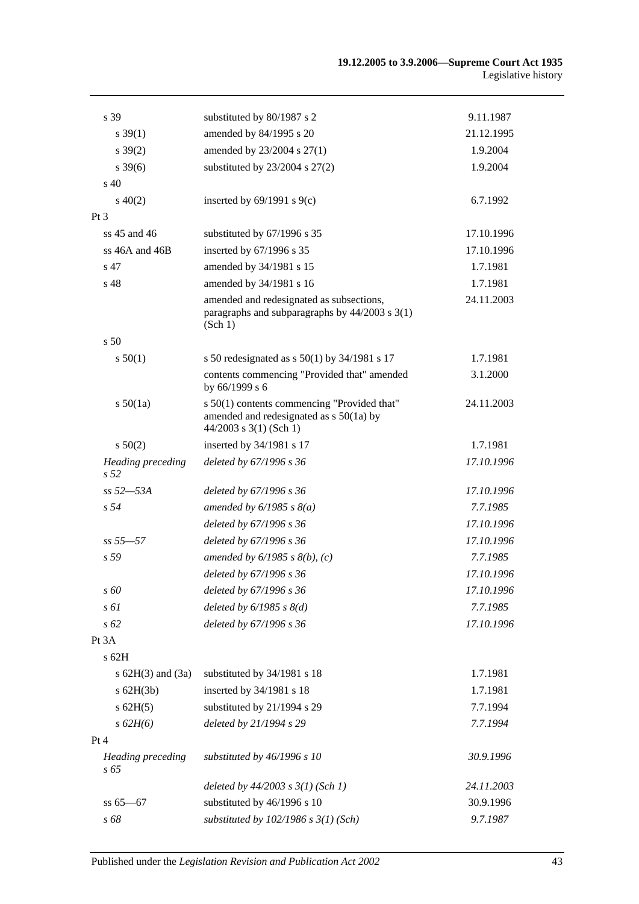| s 39                                        | substituted by 80/1987 s 2                                                                                           | 9.11.1987  |
|---------------------------------------------|----------------------------------------------------------------------------------------------------------------------|------------|
| $s \, 39(1)$                                | amended by 84/1995 s 20                                                                                              | 21.12.1995 |
| $s \, 39(2)$                                | amended by 23/2004 s 27(1)                                                                                           | 1.9.2004   |
| $s \, 39(6)$                                | substituted by $23/2004$ s $27(2)$                                                                                   | 1.9.2004   |
| $\sin 40$                                   |                                                                                                                      |            |
| $s\ 40(2)$                                  | inserted by $69/1991$ s $9(c)$                                                                                       | 6.7.1992   |
| $Pt\,3$                                     |                                                                                                                      |            |
| ss $45$ and $46$                            | substituted by 67/1996 s 35                                                                                          | 17.10.1996 |
| ss 46A and 46B                              | inserted by 67/1996 s 35                                                                                             | 17.10.1996 |
| s 47                                        | amended by 34/1981 s 15                                                                                              | 1.7.1981   |
| s 48                                        | amended by 34/1981 s 16                                                                                              | 1.7.1981   |
|                                             | amended and redesignated as subsections,<br>paragraphs and subparagraphs by 44/2003 s 3(1)<br>(Sch 1)                | 24.11.2003 |
| s <sub>50</sub>                             |                                                                                                                      |            |
| s 50(1)                                     | s 50 redesignated as $s$ 50(1) by 34/1981 s 17                                                                       | 1.7.1981   |
|                                             | contents commencing "Provided that" amended<br>by 66/1999 s 6                                                        | 3.1.2000   |
| s 50(1a)                                    | s 50(1) contents commencing "Provided that"<br>amended and redesignated as $s$ 50(1a) by<br>$44/2003$ s 3(1) (Sch 1) | 24.11.2003 |
| $s\ 50(2)$                                  | inserted by 34/1981 s 17                                                                                             | 1.7.1981   |
| <b>Heading preceding</b><br>s <sub>52</sub> | deleted by 67/1996 s 36                                                                                              | 17.10.1996 |
| $ss 52 - 53A$                               | deleted by 67/1996 s 36                                                                                              | 17.10.1996 |
| s <sub>54</sub>                             | amended by $6/1985$ s $8(a)$                                                                                         | 7.7.1985   |
|                                             | deleted by 67/1996 s 36                                                                                              | 17.10.1996 |
| $ss 55 - 57$                                | deleted by 67/1996 s 36                                                                                              | 17.10.1996 |
| s <sub>59</sub>                             | amended by $6/1985$ s $8(b)$ , (c)                                                                                   | 7.7.1985   |
|                                             | deleted by 67/1996 s 36                                                                                              | 17.10.1996 |
| s 60                                        | deleted by 67/1996 s 36                                                                                              | 17.10.1996 |
| s 61                                        | deleted by $6/1985$ s $8(d)$                                                                                         | 7.7.1985   |
| $s\,62$                                     | deleted by 67/1996 s 36                                                                                              | 17.10.1996 |
| Pt 3A                                       |                                                                                                                      |            |
| s 62H                                       |                                                                                                                      |            |
| s $62H(3)$ and $(3a)$                       | substituted by 34/1981 s 18                                                                                          | 1.7.1981   |
| s 62H(3b)                                   | inserted by 34/1981 s 18                                                                                             | 1.7.1981   |
| $s$ 62H $(5)$                               | substituted by 21/1994 s 29                                                                                          | 7.7.1994   |
| s 62H(6)                                    | deleted by 21/1994 s 29                                                                                              | 7.7.1994   |
| Pt 4                                        |                                                                                                                      |            |
| <b>Heading</b> preceding<br>s 65            | substituted by 46/1996 s 10                                                                                          | 30.9.1996  |
|                                             | deleted by $44/2003$ s $3(1)$ (Sch 1)                                                                                | 24.11.2003 |
| $ss 65 - 67$                                | substituted by 46/1996 s 10                                                                                          | 30.9.1996  |
| s 68                                        | substituted by $102/1986$ s $3(1)$ (Sch)                                                                             | 9.7.1987   |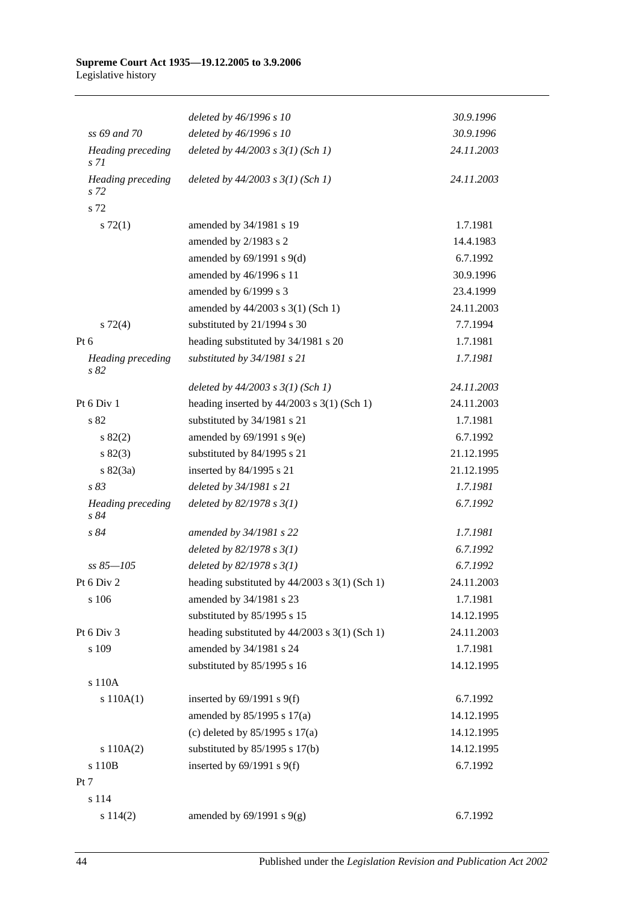#### **Supreme Court Act 1935—19.12.2005 to 3.9.2006** Legislative history

|                                      | deleted by 46/1996 s 10                         | 30.9.1996  |
|--------------------------------------|-------------------------------------------------|------------|
| ss 69 and 70                         | deleted by 46/1996 s 10                         | 30.9.1996  |
| Heading preceding<br>s <sub>71</sub> | deleted by $44/2003$ s $3(1)$ (Sch 1)           | 24.11.2003 |
| Heading preceding<br>s <sub>72</sub> | deleted by $44/2003$ s $3(1)$ (Sch 1)           | 24.11.2003 |
| s 72                                 |                                                 |            |
| s 72(1)                              | amended by 34/1981 s 19                         | 1.7.1981   |
|                                      | amended by 2/1983 s 2                           | 14.4.1983  |
|                                      | amended by $69/1991$ s $9(d)$                   | 6.7.1992   |
|                                      | amended by 46/1996 s 11                         | 30.9.1996  |
|                                      | amended by 6/1999 s 3                           | 23.4.1999  |
|                                      | amended by 44/2003 s 3(1) (Sch 1)               | 24.11.2003 |
| $s \, 72(4)$                         | substituted by 21/1994 s 30                     | 7.7.1994   |
| Pt $6$                               | heading substituted by 34/1981 s 20             | 1.7.1981   |
| Heading preceding<br>s 82            | substituted by 34/1981 s 21                     | 1.7.1981   |
|                                      | deleted by $44/2003$ s $3(1)$ (Sch 1)           | 24.11.2003 |
| Pt 6 Div 1                           | heading inserted by $44/2003$ s 3(1) (Sch 1)    | 24.11.2003 |
| s 82                                 | substituted by 34/1981 s 21                     | 1.7.1981   |
| s 82(2)                              | amended by $69/1991$ s $9(e)$                   | 6.7.1992   |
| s 82(3)                              | substituted by 84/1995 s 21                     | 21.12.1995 |
| s 82(3a)                             | inserted by 84/1995 s 21                        | 21.12.1995 |
| s 83                                 | deleted by 34/1981 s 21                         | 1.7.1981   |
| Heading preceding<br>s 84            | deleted by $82/1978 s 3(1)$                     | 6.7.1992   |
| s 84                                 | amended by 34/1981 s 22                         | 1.7.1981   |
|                                      | deleted by $82/1978 s 3(1)$                     | 6.7.1992   |
| $ss 85 - 105$                        | deleted by $82/1978 s 3(1)$                     | 6.7.1992   |
| Pt 6 Div 2                           | heading substituted by 44/2003 s 3(1) (Sch 1)   | 24.11.2003 |
| s 106                                | amended by 34/1981 s 23                         | 1.7.1981   |
|                                      | substituted by 85/1995 s 15                     | 14.12.1995 |
| Pt 6 Div 3                           | heading substituted by $44/2003$ s 3(1) (Sch 1) | 24.11.2003 |
| s 109                                | amended by 34/1981 s 24                         | 1.7.1981   |
|                                      | substituted by 85/1995 s 16                     | 14.12.1995 |
| s 110A                               |                                                 |            |
| s 110A(1)                            | inserted by $69/1991$ s $9(f)$                  | 6.7.1992   |
|                                      | amended by 85/1995 s 17(a)                      | 14.12.1995 |
|                                      | (c) deleted by $85/1995$ s $17(a)$              | 14.12.1995 |
| s 110A(2)                            | substituted by $85/1995$ s 17(b)                | 14.12.1995 |
| s 110B                               | inserted by $69/1991$ s $9(f)$                  | 6.7.1992   |
| Pt 7                                 |                                                 |            |
| s 114                                |                                                 |            |
| s 114(2)                             | amended by $69/1991$ s $9(g)$                   | 6.7.1992   |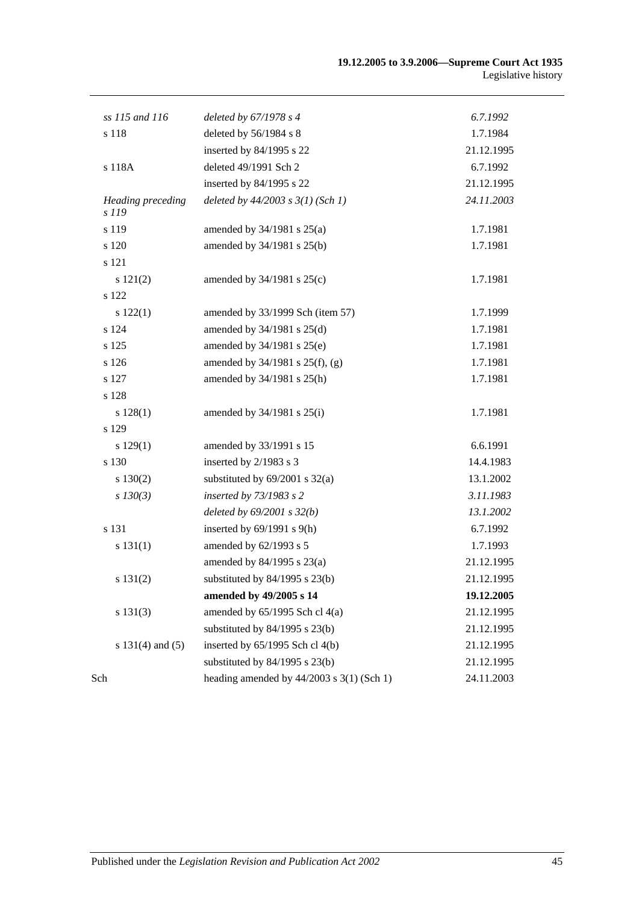| ss 115 and 116                    | deleted by 67/1978 s 4                        | 6.7.1992   |
|-----------------------------------|-----------------------------------------------|------------|
| s 118                             | deleted by 56/1984 s 8                        | 1.7.1984   |
|                                   | inserted by 84/1995 s 22                      | 21.12.1995 |
| s 118A                            | deleted 49/1991 Sch 2                         | 6.7.1992   |
|                                   | inserted by 84/1995 s 22                      | 21.12.1995 |
| <b>Heading</b> preceding<br>s 119 | deleted by $44/2003$ s $3(1)$ (Sch 1)         | 24.11.2003 |
| s 119                             | amended by $34/1981$ s $25(a)$                | 1.7.1981   |
| s 120                             | amended by 34/1981 s 25(b)                    | 1.7.1981   |
| s 121                             |                                               |            |
| s 121(2)                          | amended by $34/1981$ s $25(c)$                | 1.7.1981   |
| s 122                             |                                               |            |
| s 122(1)                          | amended by 33/1999 Sch (item 57)              | 1.7.1999   |
| s 124                             | amended by 34/1981 s 25(d)                    | 1.7.1981   |
| s 125                             | amended by 34/1981 s 25(e)                    | 1.7.1981   |
| s 126                             | amended by $34/1981$ s $25(f)$ , (g)          | 1.7.1981   |
| s 127                             | amended by 34/1981 s 25(h)                    | 1.7.1981   |
| s 128                             |                                               |            |
| s 128(1)                          | amended by $34/1981$ s $25(i)$                | 1.7.1981   |
| s 129                             |                                               |            |
| s 129(1)                          | amended by 33/1991 s 15                       | 6.6.1991   |
| s 130                             | inserted by 2/1983 s 3                        | 14.4.1983  |
| $s\ 130(2)$                       | substituted by $69/2001$ s $32(a)$            | 13.1.2002  |
| $s$ 130(3)                        | inserted by 73/1983 s 2                       | 3.11.1983  |
|                                   | deleted by $69/2001$ s $32(b)$                | 13.1.2002  |
| s 131                             | inserted by $69/1991$ s $9(h)$                | 6.7.1992   |
| s 131(1)                          | amended by 62/1993 s 5                        | 1.7.1993   |
|                                   | amended by 84/1995 s 23(a)                    | 21.12.1995 |
| s 131(2)                          | substituted by $84/1995$ s $23(b)$            | 21.12.1995 |
|                                   | amended by 49/2005 s 14                       | 19.12.2005 |
| s 131(3)                          | amended by 65/1995 Sch cl 4(a)                | 21.12.1995 |
|                                   | substituted by $84/1995$ s $23(b)$            | 21.12.1995 |
| s $131(4)$ and $(5)$              | inserted by $65/1995$ Sch cl $4(b)$           | 21.12.1995 |
|                                   | substituted by $84/1995$ s $23(b)$            | 21.12.1995 |
| Sch                               | heading amended by $44/2003$ s $3(1)$ (Sch 1) | 24.11.2003 |